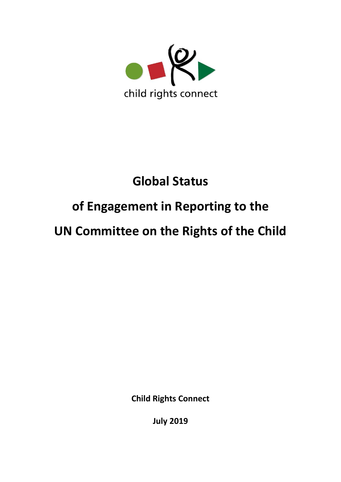

# **Global Status**

# **of Engagement in Reporting to the**

# **UN Committee on the Rights of the Child**

**Child Rights Connect**

**July 2019**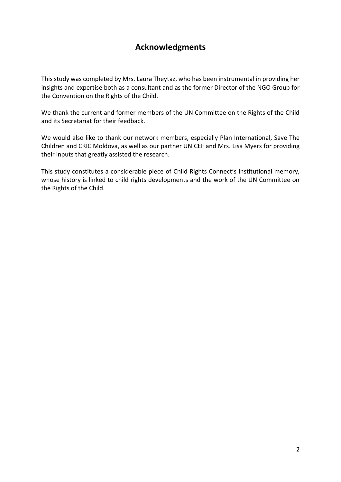# **Acknowledgments**

This study was completed by Mrs. Laura Theytaz, who has been instrumental in providing her insights and expertise both as a consultant and as the former Director of the NGO Group for the Convention on the Rights of the Child.

We thank the current and former members of the UN Committee on the Rights of the Child and its Secretariat for their feedback.

We would also like to thank our network members, especially Plan International, Save The Children and CRIC Moldova, as well as our partner UNICEF and Mrs. Lisa Myers for providing their inputs that greatly assisted the research.

This study constitutes a considerable piece of Child Rights Connect's institutional memory, whose history is linked to child rights developments and the work of the UN Committee on the Rights of the Child.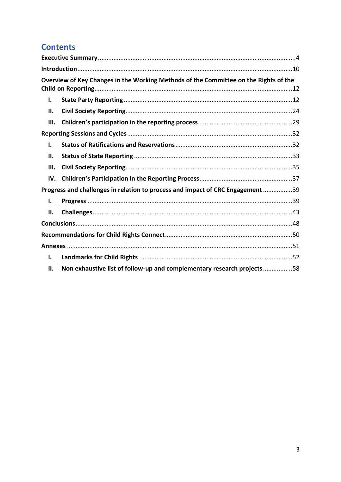# **Contents**

|     | Overview of Key Changes in the Working Methods of the Committee on the Rights of the |
|-----|--------------------------------------------------------------------------------------|
| Ι.  |                                                                                      |
| П.  |                                                                                      |
| Ш.  |                                                                                      |
|     |                                                                                      |
| I.  |                                                                                      |
| ΙΙ. |                                                                                      |
| Ш.  |                                                                                      |
| IV. |                                                                                      |
|     | Progress and challenges in relation to process and impact of CRC Engagement 39       |
| ı.  |                                                                                      |
| П.  |                                                                                      |
|     |                                                                                      |
|     |                                                                                      |
|     |                                                                                      |
| ı.  |                                                                                      |
| П.  | Non exhaustive list of follow-up and complementary research projects58               |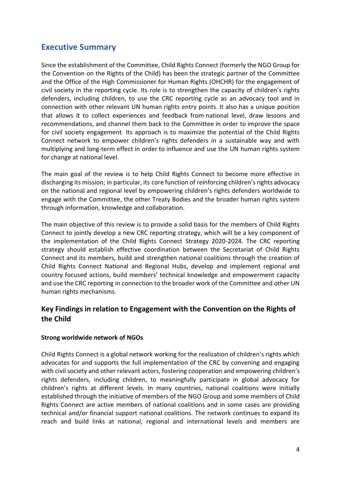# <span id="page-3-0"></span>**Executive Summary**

Since the establishment of the Committee, Child Rights Connect (formerly the NGO Group for the Convention on the Rights of the Child) has been the strategic partner of the Committee and the Office of the High Commissioner for Human Rights (OHCHR) for the engagement of civil society in the reporting cycle. Its role is to strengthen the capacity of children's rights defenders, including children, to use the CRC reporting cycle as an advocacy tool and in connection with other relevant UN human rights entry points. It also has a unique position that allows it to collect experiences and feedback from national level, draw lessons and recommendations, and channel them back to the Committee in order to improve the space for civil society engagement. Its approach is to maximize the potential of the Child Rights Connect network to empower children's rights defenders in a sustainable way and with multiplying and long-term effect in order to influence and use the UN human rights system for change at national level.

The main goal of the review is to help Child Rights Connect to become more effective in discharging its mission; in particular, its core function of reinforcing children's rights advocacy on the national and regional level by empowering children's rights defenders worldwide to engage with the Committee, the other Treaty Bodies and the broader human rights system through information, knowledge and collaboration.

The main objective of this review is to provide a solid basis for the members of Child Rights Connect to jointly develop a new CRC reporting strategy, which will be a key component of the implementation of the Child Rights Connect Strategy 2020-2024. The CRC reporting strategy should establish effective coordination between the Secretariat of Child Rights Connect and its members, build and strengthen national coalitions through the creation of Child Rights Connect National and Regional Hubs, develop and implement regional and country focused actions, build members' technical knowledge and empowerment capacity and use the CRC reporting in connection to the broader work of the Committee and other UN human rights mechanisms.

# **Key Findings in relation to Engagement with the Convention on the Rights of the Child**

# **Strong worldwide network of NGOs**

Child Rights Connect is a global network working for the realization of children's rights which advocates for and supports the full implementation of the CRC by convening and engaging with civil society and other relevant actors, fostering cooperation and empowering children's rights defenders, including children, to meaningfully participate in global advocacy for children's rights at different levels. In many countries, national coalitions were initially established through the initiative of members of the NGO Group and some members of Child Rights Connect are active members of national coalitions and in some cases are providing technical and/or financial support national coalitions. The network continues to expand its reach and build links at national, regional and international levels and members are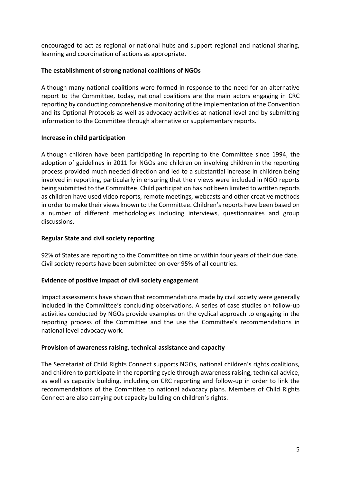encouraged to act as regional or national hubs and support regional and national sharing, learning and coordination of actions as appropriate.

# **The establishment of strong national coalitions of NGOs**

Although many national coalitions were formed in response to the need for an alternative report to the Committee, today, national coalitions are the main actors engaging in CRC reporting by conducting comprehensive monitoring of the implementation of the Convention and its Optional Protocols as well as advocacy activities at national level and by submitting information to the Committee through alternative or supplementary reports.

# **Increase in child participation**

Although children have been participating in reporting to the Committee since 1994, the adoption of guidelines in 2011 for NGOs and children on involving children in the reporting process provided much needed direction and led to a substantial increase in children being involved in reporting, particularly in ensuring that their views were included in NGO reports being submitted to the Committee. Child participation has not been limited to written reports as children have used video reports, remote meetings, webcasts and other creative methods in order to make their views known to the Committee. Children's reports have been based on a number of different methodologies including interviews, questionnaires and group discussions.

# **Regular State and civil society reporting**

92% of States are reporting to the Committee on time or within four years of their due date. Civil society reports have been submitted on over 95% of all countries.

# **Evidence of positive impact of civil society engagement**

Impact assessments have shown that recommendations made by civil society were generally included in the Committee's concluding observations. A series of case studies on follow-up activities conducted by NGOs provide examples on the cyclical approach to engaging in the reporting process of the Committee and the use the Committee's recommendations in national level advocacy work.

# **Provision of awareness raising, technical assistance and capacity**

The Secretariat of Child Rights Connect supports NGOs, national children's rights coalitions, and children to participate in the reporting cycle through awareness raising, technical advice, as well as capacity building, including on CRC reporting and follow-up in order to link the recommendations of the Committee to national advocacy plans. Members of Child Rights Connect are also carrying out capacity building on children's rights.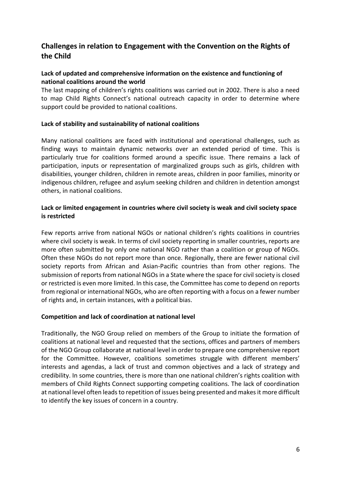# **Challenges in relation to Engagement with the Convention on the Rights of the Child**

# **Lack of updated and comprehensive information on the existence and functioning of national coalitions around the world**

The last mapping of children's rights coalitions was carried out in 2002. There is also a need to map Child Rights Connect's national outreach capacity in order to determine where support could be provided to national coalitions.

# **Lack of stability and sustainability of national coalitions**

Many national coalitions are faced with institutional and operational challenges, such as finding ways to maintain dynamic networks over an extended period of time. This is particularly true for coalitions formed around a specific issue. There remains a lack of participation, inputs or representation of marginalized groups such as girls, children with disabilities, younger children, children in remote areas, children in poor families, minority or indigenous children, refugee and asylum seeking children and children in detention amongst others, in national coalitions.

# **Lack or limited engagement in countries where civil society is weak and civil society space is restricted**

Few reports arrive from national NGOs or national children's rights coalitions in countries where civil society is weak. In terms of civil society reporting in smaller countries, reports are more often submitted by only one national NGO rather than a coalition or group of NGOs. Often these NGOs do not report more than once. Regionally, there are fewer national civil society reports from African and Asian-Pacific countries than from other regions. The submission of reports from national NGOs in a State where the space for civil society is closed or restricted is even more limited. In this case, the Committee has come to depend on reports from regional or international NGOs, who are often reporting with a focus on a fewer number of rights and, in certain instances, with a political bias.

# **Competition and lack of coordination at national level**

Traditionally, the NGO Group relied on members of the Group to initiate the formation of coalitions at national level and requested that the sections, offices and partners of members of the NGO Group collaborate at national level in order to prepare one comprehensive report for the Committee. However, coalitions sometimes struggle with different members' interests and agendas, a lack of trust and common objectives and a lack of strategy and credibility. In some countries, there is more than one national children's rights coalition with members of Child Rights Connect supporting competing coalitions. The lack of coordination at national level often leads to repetition of issues being presented and makes it more difficult to identify the key issues of concern in a country.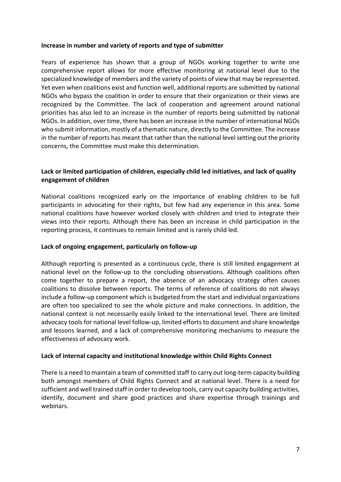# **Increase in number and variety of reports and type of submitter**

Years of experience has shown that a group of NGOs working together to write one comprehensive report allows for more effective monitoring at national level due to the specialized knowledge of members and the variety of points of view that may be represented. Yet even when coalitions exist and function well, additional reports are submitted by national NGOs who bypass the coalition in order to ensure that their organization or their views are recognized by the Committee. The lack of cooperation and agreement around national priorities has also led to an increase in the number of reports being submitted by national NGOs. In addition, over time, there has been an increase in the number of international NGOs who submit information, mostly of a thematic nature, directly to the Committee. The increase in the number of reports has meant that rather than the national level setting out the priority concerns, the Committee must make this determination.

# **Lack or limited participation of children, especially child led initiatives, and lack of quality engagement of children**

National coalitions recognized early on the importance of enabling children to be full participants in advocating for their rights, but few had any experience in this area. Some national coalitions have however worked closely with children and tried to integrate their views into their reports. Although there has been an increase in child participation in the reporting process, it continues to remain limited and is rarely child led.

#### **Lack of ongoing engagement, particularly on follow-up**

Although reporting is presented as a continuous cycle, there is still limited engagement at national level on the follow-up to the concluding observations. Although coalitions often come together to prepare a report, the absence of an advocacy strategy often causes coalitions to dissolve between reports. The terms of reference of coalitions do not always include a follow-up component which is budgeted from the start and individual organizations are often too specialized to see the whole picture and make connections. In addition, the national context is not necessarily easily linked to the international level. There are limited advocacy tools for national level follow-up, limited efforts to document and share knowledge and lessons learned, and a lack of comprehensive monitoring mechanisms to measure the effectiveness of advocacy work.

# **Lack of internal capacity and institutional knowledge within Child Rights Connect**

There is a need to maintain a team of committed staff to carry out long-term capacity building both amongst members of Child Rights Connect and at national level. There is a need for sufficient and well trained staff in order to develop tools, carry out capacity building activities, identify, document and share good practices and share expertise through trainings and webinars.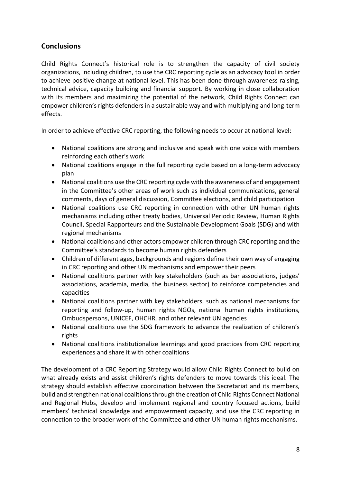# **Conclusions**

Child Rights Connect's historical role is to strengthen the capacity of civil society organizations, including children, to use the CRC reporting cycle as an advocacy tool in order to achieve positive change at national level. This has been done through awareness raising, technical advice, capacity building and financial support. By working in close collaboration with its members and maximizing the potential of the network, Child Rights Connect can empower children's rights defenders in a sustainable way and with multiplying and long-term effects.

In order to achieve effective CRC reporting, the following needs to occur at national level:

- National coalitions are strong and inclusive and speak with one voice with members reinforcing each other's work
- National coalitions engage in the full reporting cycle based on a long-term advocacy plan
- National coalitions use the CRC reporting cycle with the awareness of and engagement in the Committee's other areas of work such as individual communications, general comments, days of general discussion, Committee elections, and child participation
- National coalitions use CRC reporting in connection with other UN human rights mechanisms including other treaty bodies, Universal Periodic Review, Human Rights Council, Special Rapporteurs and the Sustainable Development Goals (SDG) and with regional mechanisms
- National coalitions and other actors empower children through CRC reporting and the Committee's standards to become human rights defenders
- Children of different ages, backgrounds and regions define their own way of engaging in CRC reporting and other UN mechanisms and empower their peers
- National coalitions partner with key stakeholders (such as bar associations, judges' associations, academia, media, the business sector) to reinforce competencies and capacities
- National coalitions partner with key stakeholders, such as national mechanisms for reporting and follow-up, human rights NGOs, national human rights institutions, Ombudspersons, UNICEF, OHCHR, and other relevant UN agencies
- National coalitions use the SDG framework to advance the realization of children's rights
- National coalitions institutionalize learnings and good practices from CRC reporting experiences and share it with other coalitions

The development of a CRC Reporting Strategy would allow Child Rights Connect to build on what already exists and assist children's rights defenders to move towards this ideal. The strategy should establish effective coordination between the Secretariat and its members, build and strengthen national coalitions through the creation of Child Rights Connect National and Regional Hubs, develop and implement regional and country focused actions, build members' technical knowledge and empowerment capacity, and use the CRC reporting in connection to the broader work of the Committee and other UN human rights mechanisms.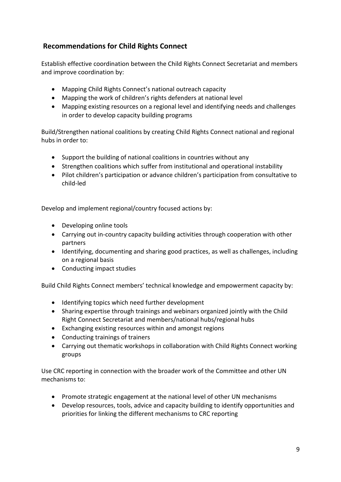# **Recommendations for Child Rights Connect**

Establish effective coordination between the Child Rights Connect Secretariat and members and improve coordination by:

- Mapping Child Rights Connect's national outreach capacity
- Mapping the work of children's rights defenders at national level
- Mapping existing resources on a regional level and identifying needs and challenges in order to develop capacity building programs

Build/Strengthen national coalitions by creating Child Rights Connect national and regional hubs in order to:

- Support the building of national coalitions in countries without any
- Strengthen coalitions which suffer from institutional and operational instability
- Pilot children's participation or advance children's participation from consultative to child-led

Develop and implement regional/country focused actions by:

- Developing online tools
- Carrying out in-country capacity building activities through cooperation with other partners
- Identifying, documenting and sharing good practices, as well as challenges, including on a regional basis
- Conducting impact studies

Build Child Rights Connect members' technical knowledge and empowerment capacity by:

- Identifying topics which need further development
- Sharing expertise through trainings and webinars organized jointly with the Child Right Connect Secretariat and members/national hubs/regional hubs
- Exchanging existing resources within and amongst regions
- Conducting trainings of trainers
- Carrying out thematic workshops in collaboration with Child Rights Connect working groups

Use CRC reporting in connection with the broader work of the Committee and other UN mechanisms to:

- Promote strategic engagement at the national level of other UN mechanisms
- Develop resources, tools, advice and capacity building to identify opportunities and priorities for linking the different mechanisms to CRC reporting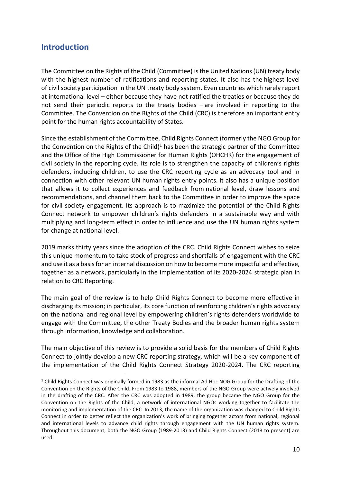# <span id="page-9-0"></span>**Introduction**

The Committee on the Rights of the Child (Committee) is the United Nations (UN) treaty body with the highest number of ratifications and reporting states. It also has the highest level of civil society participation in the UN treaty body system. Even countries which rarely report at international level – either because they have not ratified the treaties or because they do not send their periodic reports to the treaty bodies – are involved in reporting to the Committee. The Convention on the Rights of the Child (CRC) is therefore an important entry point for the human rights accountability of States.

Since the establishment of the Committee, Child Rights Connect (formerly the NGO Group for the Convention on the Rights of the Child) $1$  has been the strategic partner of the Committee and the Office of the High Commissioner for Human Rights (OHCHR) for the engagement of civil society in the reporting cycle. Its role is to strengthen the capacity of children's rights defenders, including children, to use the CRC reporting cycle as an advocacy tool and in connection with other relevant UN human rights entry points. It also has a unique position that allows it to collect experiences and feedback from national level, draw lessons and recommendations, and channel them back to the Committee in order to improve the space for civil society engagement. Its approach is to maximize the potential of the Child Rights Connect network to empower children's rights defenders in a sustainable way and with multiplying and long-term effect in order to influence and use the UN human rights system for change at national level.

2019 marks thirty years since the adoption of the CRC. Child Rights Connect wishes to seize this unique momentum to take stock of progress and shortfalls of engagement with the CRC and use it as a basis for an internal discussion on how to become more impactful and effective, together as a network, particularly in the implementation of its 2020-2024 strategic plan in relation to CRC Reporting.

The main goal of the review is to help Child Rights Connect to become more effective in discharging its mission; in particular, its core function of reinforcing children's rights advocacy on the national and regional level by empowering children's rights defenders worldwide to engage with the Committee, the other Treaty Bodies and the broader human rights system through information, knowledge and collaboration.

The main objective of this review is to provide a solid basis for the members of Child Rights Connect to jointly develop a new CRC reporting strategy, which will be a key component of the implementation of the Child Rights Connect Strategy 2020-2024. The CRC reporting

<sup>1</sup> Child Rights Connect was originally formed in 1983 as the informal Ad Hoc NOG Group for the Drafting of the Convention on the Rights of the Child. From 1983 to 1988, members of the NGO Group were actively involved in the drafting of the CRC. After the CRC was adopted in 1989, the group became the NGO Group for the Convention on the Rights of the Child, a network of international NGOs working together to facilitate the monitoring and implementation of the CRC. In 2013, the name of the organization was changed to Child Rights Connect in order to better reflect the organization's work of bringing together actors from national, regional and international levels to advance child rights through engagement with the UN human rights system. Throughout this document, both the NGO Group (1989-2013) and Child Rights Connect (2013 to present) are used.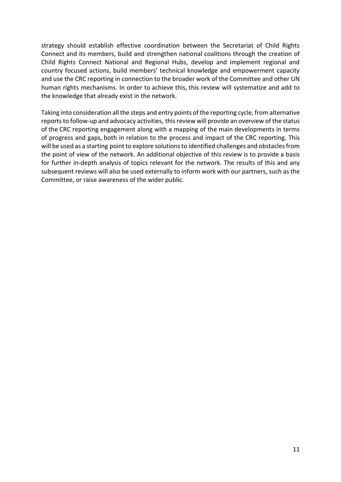strategy should establish effective coordination between the Secretariat of Child Rights Connect and its members, build and strengthen national coalitions through the creation of Child Rights Connect National and Regional Hubs, develop and implement regional and country focused actions, build members' technical knowledge and empowerment capacity and use the CRC reporting in connection to the broader work of the Committee and other UN human rights mechanisms. In order to achieve this, this review will systematize and add to the knowledge that already exist in the network.

Taking into consideration all the steps and entry points of the reporting cycle, from alternative reports to follow-up and advocacy activities, this review will provide an overview of the status of the CRC reporting engagement along with a mapping of the main developments in terms of progress and gaps, both in relation to the process and impact of the CRC reporting. This will be used as a starting point to explore solutions to identified challenges and obstacles from the point of view of the network. An additional objective of this review is to provide a basis for further in-depth analysis of topics relevant for the network. The results of this and any subsequent reviews will also be used externally to inform work with our partners, such as the Committee, or raise awareness of the wider public.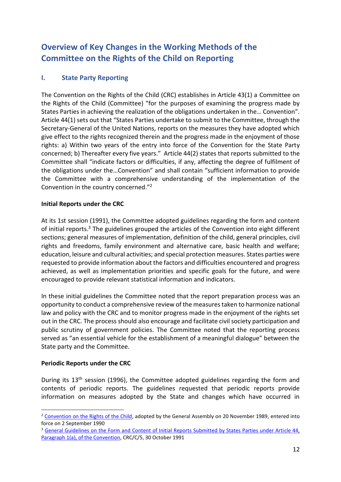# <span id="page-11-0"></span>**Overview of Key Changes in the Working Methods of the Committee on the Rights of the Child on Reporting**

# <span id="page-11-1"></span>**I. State Party Reporting**

The Convention on the Rights of the Child (CRC) establishes in Article 43(1) a Committee on the Rights of the Child (Committee) "for the purposes of examining the progress made by States Parties in achieving the realization of the obligations undertaken in the… Convention". Article 44(1) sets out that "States Parties undertake to submit to the Committee, through the Secretary-General of the United Nations, reports on the measures they have adopted which give effect to the rights recognized therein and the progress made in the enjoyment of those rights: a) Within two years of the entry into force of the Convention for the State Party concerned; b) Thereafter every five years." Article 44(2) states that reports submitted to the Committee shall "indicate factors or difficulties, if any, affecting the degree of fulfilment of the obligations under the…Convention" and shall contain "sufficient information to provide the Committee with a comprehensive understanding of the implementation of the Convention in the country concerned." 2

# **Initial Reports under the CRC**

At its 1st session (1991), the Committee adopted guidelines regarding the form and content of initial reports.<sup>3</sup> The guidelines grouped the articles of the Convention into eight different sections; general measures of implementation, definition of the child, general principles, civil rights and freedoms, family environment and alternative care, basic health and welfare; education, leisure and cultural activities; and special protection measures. States parties were requested to provide information about the factors and difficulties encountered and progress achieved, as well as implementation priorities and specific goals for the future, and were encouraged to provide relevant statistical information and indicators.

In these initial guidelines the Committee noted that the report preparation process was an opportunity to conduct a comprehensive review of the measures taken to harmonize national law and policy with the CRC and to monitor progress made in the enjoyment of the rights set out in the CRC. The process should also encourage and facilitate civil society participation and public scrutiny of government policies. The Committee noted that the reporting process served as "an essential vehicle for the establishment of a meaningful dialogue" between the State party and the Committee.

# **Periodic Reports under the CRC**

During its 13<sup>th</sup> session (1996), the Committee adopted guidelines regarding the form and contents of periodic reports. The guidelines requested that periodic reports provide information on measures adopted by the State and changes which have occurred in

<sup>&</sup>lt;sup>2</sup> [Convention on the Rights of the Child,](https://www.ohchr.org/EN/ProfessionalInterest/Pages/CRC.aspx) adopted by the General Assembly on 20 November 1989, entered into force on 2 September 1990

<sup>&</sup>lt;sup>3</sup> General Guidelines on the Form and Content of Initial Reports Submitted by States Parties under Article 44, [Paragraph 1\(a\), of the Convention,](https://tbinternet.ohchr.org/_layouts/15/treatybodyexternal/Download.aspx?symbolno=CRC/C/5&Lang=en) CRC/C/5, 30 October 1991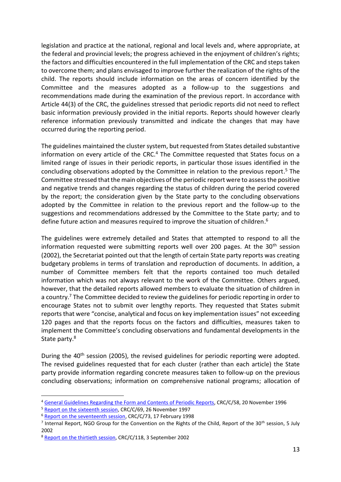legislation and practice at the national, regional and local levels and, where appropriate, at the federal and provincial levels; the progress achieved in the enjoyment of children's rights; the factors and difficulties encountered in the full implementation of the CRC and steps taken to overcome them; and plans envisaged to improve further the realization of the rights of the child. The reports should include information on the areas of concern identified by the Committee and the measures adopted as a follow-up to the suggestions and recommendations made during the examination of the previous report. In accordance with Article 44(3) of the CRC, the guidelines stressed that periodic reports did not need to reflect basic information previously provided in the initial reports. Reports should however clearly reference information previously transmitted and indicate the changes that may have occurred during the reporting period.

The guidelines maintained the cluster system, but requested from States detailed substantive information on every article of the CRC. <sup>4</sup> The Committee requested that States focus on a limited range of issues in their periodic reports, in particular those issues identified in the concluding observations adopted by the Committee in relation to the previous report. <sup>5</sup> The Committee stressed that the main objectives of the periodic report were to assess the positive and negative trends and changes regarding the status of children during the period covered by the report; the consideration given by the State party to the concluding observations adopted by the Committee in relation to the previous report and the follow-up to the suggestions and recommendations addressed by the Committee to the State party; and to define future action and measures required to improve the situation of children.<sup>6</sup>

The guidelines were extremely detailed and States that attempted to respond to all the information requested were submitting reports well over 200 pages. At the  $30<sup>th</sup>$  session (2002), the Secretariat pointed out that the length of certain State party reports was creating budgetary problems in terms of translation and reproduction of documents. In addition, a number of Committee members felt that the reports contained too much detailed information which was not always relevant to the work of the Committee. Others argued, however, that the detailed reports allowed members to evaluate the situation of children in a country.<sup>7</sup> The Committee decided to review the guidelines for periodic reporting in order to encourage States not to submit over lengthy reports. They requested that States submit reports that were "concise, analytical and focus on key implementation issues" not exceeding 120 pages and that the reports focus on the factors and difficulties, measures taken to implement the Committee's concluding observations and fundamental developments in the State party.<sup>8</sup>

During the 40<sup>th</sup> session (2005), the revised guidelines for periodic reporting were adopted. The revised guidelines requested that for each cluster (rather than each article) the State party provide information regarding concrete measures taken to follow-up on the previous concluding observations; information on comprehensive national programs; allocation of

<sup>4</sup> [General Guidelines Regarding the Form and Contents of Periodic Reports,](https://tbinternet.ohchr.org/_layouts/15/treatybodyexternal/Download.aspx?symbolno=CRC%2fC%2f58&Lang=en) CRC/C/58, 20 November 1996

<sup>5</sup> [Report on the sixteenth session,](https://tbinternet.ohchr.org/_layouts/15/treatybodyexternal/Download.aspx?symbolno=CRC%2fC%2f69&Lang=en) CRC/C/69, 26 November 1997

<sup>&</sup>lt;sup>6</sup> [Report on the seventeenth session,](https://tbinternet.ohchr.org/_layouts/15/treatybodyexternal/Download.aspx?symbolno=CRC%2fC%2f73&Lang=en) CRC/C/73, 17 February 1998

<sup>&</sup>lt;sup>7</sup> Internal Report, NGO Group for the Convention on the Rights of the Child, Report of the 30<sup>th</sup> session, 5 July 2002

<sup>&</sup>lt;sup>8</sup> [Report on the thirtieth session,](https://tbinternet.ohchr.org/_layouts/15/treatybodyexternal/Download.aspx?symbolno=CRC%2fC%2f118&Lang=en) CRC/C/118, 3 September 2002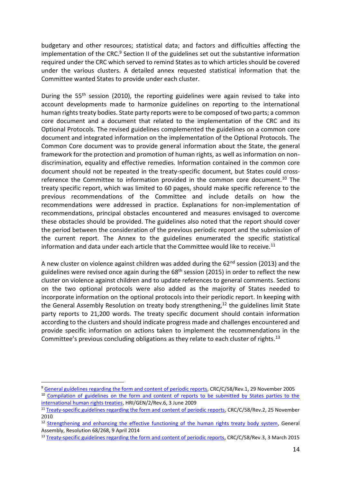budgetary and other resources; statistical data; and factors and difficulties affecting the implementation of the CRC.<sup>9</sup> Section II of the guidelines set out the substantive information required under the CRC which served to remind States as to which articles should be covered under the various clusters. A detailed annex requested statistical information that the Committee wanted States to provide under each cluster.

During the 55<sup>th</sup> session (2010), the reporting guidelines were again revised to take into account developments made to harmonize guidelines on reporting to the international human rights treaty bodies. State party reports were to be composed of two parts; a common core document and a document that related to the implementation of the CRC and its Optional Protocols. The revised guidelines complemented the guidelines on a common core document and integrated information on the implementation of the Optional Protocols. The Common Core document was to provide general information about the State, the general framework for the protection and promotion of human rights, as well as information on nondiscrimination, equality and effective remedies. Information contained in the common core document should not be repeated in the treaty-specific document, but States could crossreference the Committee to information provided in the common core document.<sup>10</sup> The treaty specific report, which was limited to 60 pages, should make specific reference to the previous recommendations of the Committee and include details on how the recommendations were addressed in practice. Explanations for non-implementation of recommendations, principal obstacles encountered and measures envisaged to overcome these obstacles should be provided. The guidelines also noted that the report should cover the period between the consideration of the previous periodic report and the submission of the current report. The Annex to the guidelines enumerated the specific statistical information and data under each article that the Committee would like to receive.<sup>11</sup>

A new cluster on violence against children was added during the  $62<sup>nd</sup>$  session (2013) and the guidelines were revised once again during the  $68<sup>th</sup>$  session (2015) in order to reflect the new cluster on violence against children and to update references to general comments. Sections on the two optional protocols were also added as the majority of States needed to incorporate information on the optional protocols into their periodic report. In keeping with the General Assembly Resolution on treaty body strengthening, $12$  the guidelines limit State party reports to 21,200 words. The treaty specific document should contain information according to the clusters and should indicate progress made and challenges encountered and provide specific information on actions taken to implement the recommendations in the Committee's previous concluding obligations as they relate to each cluster of rights.<sup>13</sup>

<sup>&</sup>lt;sup>9</sup> [General guidelines regarding the form and content of periodic reports,](https://tbinternet.ohchr.org/_layouts/15/treatybodyexternal/Download.aspx?symbolno=CRC%2fC%2f58%2fRev.1&Lang=en) CRC/C/58/Rev.1, 29 November 2005

<sup>&</sup>lt;sup>10</sup> Compilation of guidelines on the form and content of reports to be submitted by States parties to the [international human rights treaties,](https://tbinternet.ohchr.org/_layouts/15/treatybodyexternal/Download.aspx?symbolno=HRI/GEN/2/Rev.6&Lang=en) HRI/GEN/2/Rev.6, 3 June 2009

<sup>&</sup>lt;sup>11</sup> [Treaty-specific guidelines regarding the form and content of periodic reports,](https://tbinternet.ohchr.org/_layouts/15/treatybodyexternal/Download.aspx?symbolno=CRC%2fC%2f58%2fREV.2&Lang=en) CRC/C/58/Rev.2, 25 November 2010

<sup>&</sup>lt;sup>12</sup> [Strengthening and enhancing the effective functioning of the human rights treaty body system,](http://www.un.org/en/ga/search/view_doc.asp?symbol=A/RES/68/268) General Assembly, Resolution 68/268, 9 April 2014

<sup>&</sup>lt;sup>13</sup> [Treaty-specific guidelines regarding the form and content of periodic reports,](https://tbinternet.ohchr.org/_layouts/15/treatybodyexternal/Download.aspx?symbolno=CRC%2fC%2f58%2fREV.3&Lang=en) CRC/C/58/Rev.3, 3 March 2015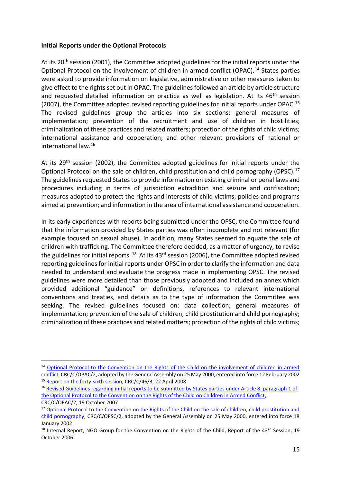# **Initial Reports under the Optional Protocols**

At its 28<sup>th</sup> session (2001), the Committee adopted guidelines for the initial reports under the Optional Protocol on the involvement of children in armed conflict (OPAC).<sup>14</sup> States parties were asked to provide information on legislative, administrative or other measures taken to give effect to the rights set out in OPAC. The guidelines followed an article by article structure and requested detailed information on practice as well as legislation. At its  $46<sup>th</sup>$  session (2007), the Committee adopted revised reporting guidelines for initial reports under OPAC.<sup>15</sup> The revised guidelines group the articles into six sections: general measures of implementation; prevention of the recruitment and use of children in hostilities; criminalization of these practices and related matters; protection of the rights of child victims; international assistance and cooperation; and other relevant provisions of national or international law.<sup>16</sup>

At its 29<sup>th</sup> session (2002), the Committee adopted guidelines for initial reports under the Optional Protocol on the sale of children, child prostitution and child pornography (OPSC).<sup>17</sup> The guidelines requested States to provide information on existing criminal or penal laws and procedures including in terms of jurisdiction extradition and seizure and confiscation; measures adopted to protect the rights and interests of child victims; policies and programs aimed at prevention; and information in the area of international assistance and cooperation.

In its early experiences with reports being submitted under the OPSC, the Committee found that the information provided by States parties was often incomplete and not relevant (for example focused on sexual abuse). In addition, many States seemed to equate the sale of children with trafficking. The Committee therefore decided, as a matter of urgency, to revise the guidelines for initial reports.  $^{18}$  At its 43<sup>rd</sup> session (2006), the Committee adopted revised reporting guidelines for initial reports under OPSC in order to clarify the information and data needed to understand and evaluate the progress made in implementing OPSC. The revised guidelines were more detailed than those previously adopted and included an annex which provided additional "guidance" on definitions, references to relevant international conventions and treaties, and details as to the type of information the Committee was seeking. The revised guidelines focused on: data collection; general measures of implementation; prevention of the sale of children, child prostitution and child pornography; criminalization of these practices and related matters; protection of the rights of child victims;

<sup>14</sup> [Optional Protocol to the Convention on the Rights of the Child on the involvement of children in armed](https://www.ohchr.org/EN/ProfessionalInterest/Pages/OPACCRC.aspx)  [conflict,](https://www.ohchr.org/EN/ProfessionalInterest/Pages/OPACCRC.aspx) CRC/C/OPAC/2, adopted by the General Assembly on 25 May 2000, entered into force 12 February 2002 <sup>15</sup> [Report on the forty-sixth session,](https://tbinternet.ohchr.org/_layouts/15/treatybodyexternal/Download.aspx?symbolno=CRC%2fC%2f46%2f3&Lang=en) CRC/C/46/3, 22 April 2008

<sup>&</sup>lt;sup>16</sup> Revised Guidelines regarding initial reports to be submitted by States parties under Article 8, paragraph 1 of [the Optional Protocol to the Convention on the Rights of the Child on Children in Armed Conflict,](https://tbinternet.ohchr.org/_layouts/15/treatybodyexternal/Download.aspx?symbolno=CRC/C/OPAC/2&Lang=en)  CRC/C/OPAC/2, 19 October 2007

<sup>&</sup>lt;sup>17</sup> Optional Protocol to the Convention on the Rights of the Child on the sale of children, child prostitution and [child pornography,](https://www.ohchr.org/EN/ProfessionalInterest/Pages/OPSCCRC.aspx) CRC/C/OPSC/2, adopted by the General Assembly on 25 May 2000, entered into force 18 January 2002

 $18$  Internal Report, NGO Group for the Convention on the Rights of the Child, Report of the 43<sup>rd</sup> Session, 19 October 2006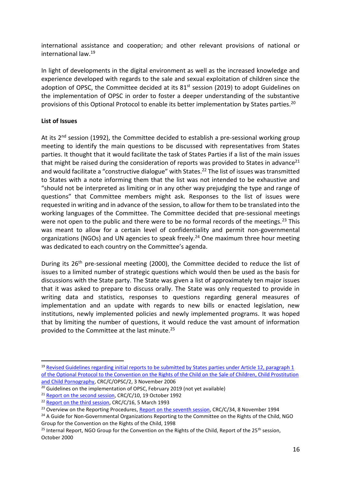international assistance and cooperation; and other relevant provisions of national or international law.<sup>19</sup>

In light of developments in the digital environment as well as the increased knowledge and experience developed with regards to the sale and sexual exploitation of children since the adoption of OPSC, the Committee decided at its  $81<sup>st</sup>$  session (2019) to adopt Guidelines on the implementation of OPSC in order to foster a deeper understanding of the substantive provisions of this Optional Protocol to enable its better implementation by States parties.<sup>20</sup>

# **List of Issues**

At its  $2^{nd}$  session (1992), the Committee decided to establish a pre-sessional working group meeting to identify the main questions to be discussed with representatives from States parties. It thought that it would facilitate the task of States Parties if a list of the main issues that might be raised during the consideration of reports was provided to States in advance<sup>21</sup> and would facilitate a "constructive dialogue" with States.<sup>22</sup> The list of issues was transmitted to States with a note informing them that the list was not intended to be exhaustive and "should not be interpreted as limiting or in any other way prejudging the type and range of questions" that Committee members might ask. Responses to the list of issues were requested in writing and in advance of the session, to allow for them to be translated into the working languages of the Committee. The Committee decided that pre-sessional meetings were not open to the public and there were to be no formal records of the meetings.<sup>23</sup> This was meant to allow for a certain level of confidentiality and permit non-governmental organizations (NGOs) and UN agencies to speak freely.<sup>24</sup> One maximum three hour meeting was dedicated to each country on the Committee's agenda.

During its 26<sup>th</sup> pre-sessional meeting (2000), the Committee decided to reduce the list of issues to a limited number of strategic questions which would then be used as the basis for discussions with the State party. The State was given a list of approximately ten major issues that it was asked to prepare to discuss orally. The State was only requested to provide in writing data and statistics, responses to questions regarding general measures of implementation and an update with regards to new bills or enacted legislation, new institutions, newly implemented policies and newly implemented programs. It was hoped that by limiting the number of questions, it would reduce the vast amount of information provided to the Committee at the last minute.<sup>25</sup>

<sup>&</sup>lt;sup>19</sup> Revised Guidelines regarding initial reports to be submitted by States parties under Article 12, paragraph 1 [of the Optional Protocol to the Convention on the Rights of the Child on the Sale of Children, Child Prostitution](https://tbinternet.ohchr.org/_layouts/15/treatybodyexternal/Download.aspx?symbolno=CRC/C/OPSC/2&Lang=en)  [and Child Pornography,](https://tbinternet.ohchr.org/_layouts/15/treatybodyexternal/Download.aspx?symbolno=CRC/C/OPSC/2&Lang=en) CRC/C/OPSC/2, 3 November 2006

<sup>&</sup>lt;sup>20</sup> Guidelines on the implementation of OPSC, February 2019 (not yet available)

<sup>&</sup>lt;sup>21</sup> [Report on the second session,](https://tbinternet.ohchr.org/_layouts/15/treatybodyexternal/Download.aspx?symbolno=CRC%2fC%2f10&Lang=en) CRC/C/10, 19 October 1992

<sup>&</sup>lt;sup>22</sup> [Report on the third session,](https://tbinternet.ohchr.org/_layouts/15/treatybodyexternal/Download.aspx?symbolno=CRC%2fC%2f16&Lang=en) CRC/C/16, 5 March 1993

<sup>&</sup>lt;sup>23</sup> Overview on the Reporting Procedures, [Report on the seventh session,](https://tbinternet.ohchr.org/_layouts/15/treatybodyexternal/Download.aspx?symbolno=CRC%2fC%2f34&Lang=en) CRC/C/34, 8 November 1994

<sup>&</sup>lt;sup>24</sup> A Guide for Non-Governmental Organizations Reporting to the Committee on the Rights of the Child, NGO Group for the Convention on the Rights of the Child, 1998

<sup>&</sup>lt;sup>25</sup> Internal Report, NGO Group for the Convention on the Rights of the Child, Report of the 25<sup>th</sup> session, October 2000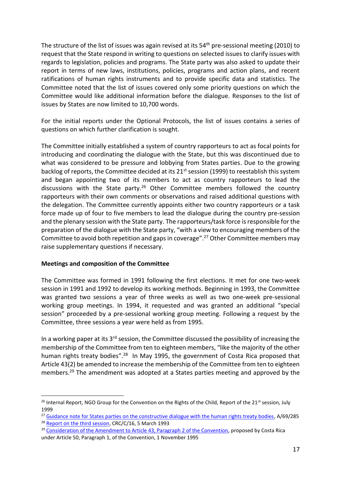The structure of the list of issues was again revised at its 54<sup>th</sup> pre-sessional meeting (2010) to request that the State respond in writing to questions on selected issues to clarify issues with regards to legislation, policies and programs. The State party was also asked to update their report in terms of new laws, institutions, policies, programs and action plans, and recent ratifications of human rights instruments and to provide specific data and statistics. The Committee noted that the list of issues covered only some priority questions on which the Committee would like additional information before the dialogue. Responses to the list of issues by States are now limited to 10,700 words.

For the initial reports under the Optional Protocols, the list of issues contains a series of questions on which further clarification is sought.

The Committee initially established a system of country rapporteurs to act as focal points for introducing and coordinating the dialogue with the State, but this was discontinued due to what was considered to be pressure and lobbying from States parties. Due to the growing backlog of reports, the Committee decided at its 21<sup>st</sup> session (1999) to reestablish this system and began appointing two of its members to act as country rapporteurs to lead the discussions with the State party.<sup>26</sup> Other Committee members followed the country rapporteurs with their own comments or observations and raised additional questions with the delegation. The Committee currently appoints either two country rapporteurs or a task force made up of four to five members to lead the dialogue during the country pre-session and the plenary session with the State party. The rapporteurs/task force is responsible for the preparation of the dialogue with the State party, "with a view to encouraging members of the Committee to avoid both repetition and gaps in coverage".<sup>27</sup> Other Committee members may raise supplementary questions if necessary.

# **Meetings and composition of the Committee**

The Committee was formed in 1991 following the first elections. It met for one two-week session in 1991 and 1992 to develop its working methods. Beginning in 1993, the Committee was granted two sessions a year of three weeks as well as two one-week pre-sessional working group meetings. In 1994, it requested and was granted an additional "special session" proceeded by a pre-sessional working group meeting. Following a request by the Committee, three sessions a year were held as from 1995.

In a working paper at its  $3<sup>rd</sup>$  session, the Committee discussed the possibility of increasing the membership of the Committee from ten to eighteen members, "like the majority of the other human rights treaty bodies".<sup>28</sup> In May 1995, the government of Costa Rica proposed that Article 43(2) be amended to increase the membership of the Committee from ten to eighteen members.<sup>29</sup> The amendment was adopted at a States parties meeting and approved by the

<sup>&</sup>lt;sup>26</sup> Internal Report, NGO Group for the Convention on the Rights of the Child, Report of the 21<sup>st</sup> session, July 1999

<sup>&</sup>lt;sup>27</sup> [Guidance note for States parties on the constructive dialogue with the human rights treaty bodies,](https://tbinternet.ohchr.org/_layouts/15/treatybodyexternal/Download.aspx?symbolno=A%2F69%2F285&Lang=en) A/69/285

<sup>&</sup>lt;sup>28</sup> [Report on the third session,](https://tbinternet.ohchr.org/_layouts/15/treatybodyexternal/Download.aspx?symbolno=CRC%2fC%2f16&Lang=en) CRC/C/16, 5 March 1993

 $29$  [Consideration of the Amendment to Article 43, Paragraph 2 of the Convention,](http://docstore.ohchr.org/SelfServices/FilesHandler.ashx?enc=6QkG1d%2fPPRiCAqhKb7yhsm%2fmr7MbP8yWRXkXM8K6Zota8Z71oYeXhxT7bl%2fzHPXiH7ox4w4VNihNV8hrxFK6i6x5PQHWeOlr6RSdaK0jTRCpkDLM3hGra8TNqe6yCBCf) proposed by Costa Rica under Article 50, Paragraph 1, of the Convention, 1 November 1995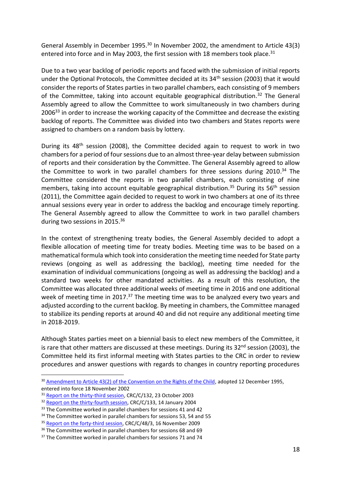General Assembly in December 1995.<sup>30</sup> In November 2002, the amendment to Article 43(3) entered into force and in May 2003, the first session with 18 members took place.<sup>31</sup>

Due to a two year backlog of periodic reports and faced with the submission of initial reports under the Optional Protocols, the Committee decided at its 34<sup>th</sup> session (2003) that it would consider the reports of States parties in two parallel chambers, each consisting of 9 members of the Committee, taking into account equitable geographical distribution.<sup>32</sup> The General Assembly agreed to allow the Committee to work simultaneously in two chambers during 2006<sup>33</sup> in order to increase the working capacity of the Committee and decrease the existing backlog of reports. The Committee was divided into two chambers and States reports were assigned to chambers on a random basis by lottery.

During its 48<sup>th</sup> session (2008), the Committee decided again to request to work in two chambers for a period of four sessions due to an almost three-year delay between submission of reports and their consideration by the Committee. The General Assembly agreed to allow the Committee to work in two parallel chambers for three sessions during 2010. <sup>34</sup> The Committee considered the reports in two parallel chambers, each consisting of nine members, taking into account equitable geographical distribution.<sup>35</sup> During its  $56<sup>th</sup>$  session (2011), the Committee again decided to request to work in two chambers at one of its three annual sessions every year in order to address the backlog and encourage timely reporting. The General Assembly agreed to allow the Committee to work in two parallel chambers during two sessions in 2015.<sup>36</sup>

In the context of strengthening treaty bodies, the General Assembly decided to adopt a flexible allocation of meeting time for treaty bodies. Meeting time was to be based on a mathematical formula which took into consideration the meeting time needed for State party reviews (ongoing as well as addressing the backlog), meeting time needed for the examination of individual communications (ongoing as well as addressing the backlog) and a standard two weeks for other mandated activities. As a result of this resolution, the Committee was allocated three additional weeks of meeting time in 2016 and one additional week of meeting time in 2017.<sup>37</sup> The meeting time was to be analyzed every two years and adjusted according to the current backlog. By meeting in chambers, the Committee managed to stabilize its pending reports at around 40 and did not require any additional meeting time in 2018-2019.

Although States parties meet on a biennial basis to elect new members of the Committee, it is rare that other matters are discussed at these meetings. During its  $32^{nd}$  session (2003), the Committee held its first informal meeting with States parties to the CRC in order to review procedures and answer questions with regards to changes in country reporting procedures

<sup>&</sup>lt;sup>30</sup> [Amendment to Article 43\(2\) of the Convention on the Rights of the Child,](https://treaties.un.org/pages/ViewDetails.aspx?src=TREATY&mtdsg_no=IV-11-a&chapter=4&clang=_en) adopted 12 December 1995, entered into force 18 November 2002

<sup>&</sup>lt;sup>31</sup> [Report on the thirty-third session,](https://tbinternet.ohchr.org/_layouts/15/treatybodyexternal/Download.aspx?symbolno=CRC%2fC%2f132&Lang=en) CRC/C/132, 23 October 2003

<sup>&</sup>lt;sup>32</sup> [Report on the thirty-fourth session,](https://tbinternet.ohchr.org/_layouts/15/treatybodyexternal/Download.aspx?symbolno=CRC%2fC%2f133&Lang=en) CRC/C/133, 14 January 2004

<sup>&</sup>lt;sup>33</sup> The Committee worked in parallel chambers for sessions 41 and 42

<sup>&</sup>lt;sup>34</sup> The Committee worked in parallel chambers for sessions 53, 54 and 55

<sup>&</sup>lt;sup>35</sup> [Report on the forty-third session,](https://tbinternet.ohchr.org/_layouts/15/treatybodyexternal/Download.aspx?symbolno=CRC%2fC%2f46%2f3&Lang=en) CRC/C/48/3, 16 November 2009

<sup>&</sup>lt;sup>36</sup> The Committee worked in parallel chambers for sessions 68 and 69

<sup>&</sup>lt;sup>37</sup> The Committee worked in parallel chambers for sessions 71 and 74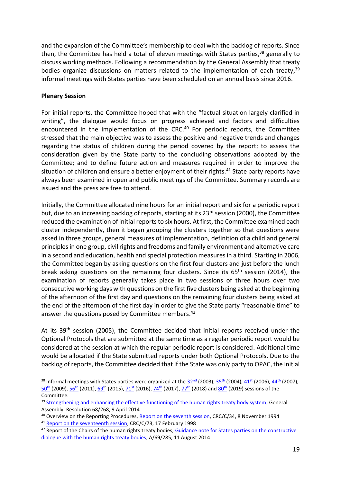and the expansion of the Committee's membership to deal with the backlog of reports. Since then, the Committee has held a total of eleven meetings with States parties, <sup>38</sup> generally to discuss working methods. Following a recommendation by the General Assembly that treaty bodies organize discussions on matters related to the implementation of each treaty,<sup>39</sup> informal meetings with States parties have been scheduled on an annual basis since 2016.

# **Plenary Session**

For initial reports, the Committee hoped that with the "factual situation largely clarified in writing", the dialogue would focus on progress achieved and factors and difficulties encountered in the implementation of the CRC.<sup>40</sup> For periodic reports, the Committee stressed that the main objective was to assess the positive and negative trends and changes regarding the status of children during the period covered by the report; to assess the consideration given by the State party to the concluding observations adopted by the Committee; and to define future action and measures required in order to improve the situation of children and ensure a better enjoyment of their rights.<sup>41</sup> State party reports have always been examined in open and public meetings of the Committee. Summary records are issued and the press are free to attend.

Initially, the Committee allocated nine hours for an initial report and six for a periodic report but, due to an increasing backlog of reports, starting at its 23<sup>rd</sup> session (2000), the Committee reduced the examination of initial reports to six hours. At first, the Committee examined each cluster independently, then it began grouping the clusters together so that questions were asked in three groups, general measures of implementation, definition of a child and general principles in one group, civil rights and freedoms and family environment and alternative care in a second and education, health and special protection measures in a third. Starting in 2006, the Committee began by asking questions on the first four clusters and just before the lunch break asking questions on the remaining four clusters. Since its  $65<sup>th</sup>$  session (2014), the examination of reports generally takes place in two sessions of three hours over two consecutive working days with questions on the first five clusters being asked at the beginning of the afternoon of the first day and questions on the remaining four clusters being asked at the end of the afternoon of the first day in order to give the State party "reasonable time" to answer the questions posed by Committee members. 42

At its  $39<sup>th</sup>$  session (2005), the Committee decided that initial reports received under the Optional Protocols that are submitted at the same time as a regular periodic report would be considered at the session at which the regular periodic report is considered. Additional time would be allocated if the State submitted reports under both Optional Protocols. Due to the backlog of reports, the Committee decided that if the State was only party to OPAC, the initial

<sup>&</sup>lt;sup>38</sup> Informal meetings with States parties were organized at the  $32^{nd}$  (2003),  $35^{th}$  (2004),  $41^{st}$  (2006),  $44^{th}$  (2007), <mark>[50](https://newsarchive.ohchr.org/EN/NewsEvents/Pages/DisplayNews.aspx?NewsID=8998&LangID=E)<sup>th</sup> (2009), <u>56th</u> (2011), <u>69th</u> (2015), <u>71st</u> (2016), <u>74th</u> (2017), <u>77th</u> (2018) and <u>80th</u> (2019) sessions of the</mark> Committee.

<sup>&</sup>lt;sup>39</sup> [Strengthening and enhancing the effective functioning of the human rights treaty body system,](http://www.un.org/en/ga/search/view_doc.asp?symbol=A/RES/68/268) General Assembly, Resolution 68/268, 9 April 2014

<sup>&</sup>lt;sup>40</sup> Overview on the Reporting Procedures, [Report on the seventh session,](https://tbinternet.ohchr.org/_layouts/15/treatybodyexternal/Download.aspx?symbolno=CRC%2fC%2f34&Lang=en) CRC/C/34, 8 November 1994

<sup>&</sup>lt;sup>41</sup> [Report on the seventeenth session,](https://tbinternet.ohchr.org/_layouts/15/treatybodyexternal/Download.aspx?symbolno=CRC%2fC%2f73&Lang=en) CRC/C/73, 17 February 1998

<sup>&</sup>lt;sup>42</sup> Report of the Chairs of the human rights treaty bodies, Guidance note for States parties on the constructive [dialogue with the human rights treaty bodies,](http://tbinternet.ohchr.org/_layouts/treatybodyexternal/Download.aspx?symbolno=INT/CMW/INF/7956&Lang=en) A/69/285, 11 August 2014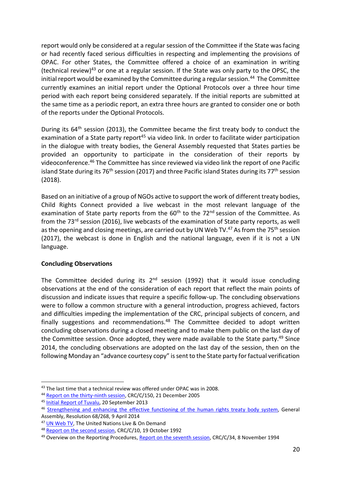report would only be considered at a regular session of the Committee if the State was facing or had recently faced serious difficulties in respecting and implementing the provisions of OPAC. For other States, the Committee offered a choice of an examination in writing (technical review)<sup>43</sup> or one at a regular session. If the State was only party to the OPSC, the initial report would be examined by the Committee during a regular session.<sup>44</sup> The Committee currently examines an initial report under the Optional Protocols over a three hour time period with each report being considered separately. If the initial reports are submitted at the same time as a periodic report, an extra three hours are granted to consider one or both of the reports under the Optional Protocols.

During its 64<sup>th</sup> session (2013), the Committee became the first treaty body to conduct the examination of a State party report<sup>45</sup> via video link. In order to facilitate wider participation in the dialogue with treaty bodies, the General Assembly requested that States parties be provided an opportunity to participate in the consideration of their reports by videoconference.<sup>46</sup> The Committee has since reviewed via video link the report of one Pacific island State during its 76<sup>th</sup> session (2017) and three Pacific island States during its 77<sup>th</sup> session (2018).

Based on an initiative of a group of NGOs active to support the work of different treaty bodies, Child Rights Connect provided a live webcast in the most relevant language of the examination of State party reports from the  $60<sup>th</sup>$  to the  $72<sup>nd</sup>$  session of the Committee. As from the 73<sup>rd</sup> session (2016), live webcasts of the examination of State party reports, as well as the opening and closing meetings, are carried out by UN Web TV.<sup>47</sup> As from the 75<sup>th</sup> session (2017), the webcast is done in English and the national language, even if it is not a UN language.

# **Concluding Observations**

The Committee decided during its 2<sup>nd</sup> session (1992) that it would issue concluding observations at the end of the consideration of each report that reflect the main points of discussion and indicate issues that require a specific follow-up. The concluding observations were to follow a common structure with a general introduction, progress achieved, factors and difficulties impeding the implementation of the CRC, principal subjects of concern, and finally suggestions and recommendations. $48$  The Committee decided to adopt written concluding observations during a closed meeting and to make them public on the last day of the Committee session. Once adopted, they were made available to the State party.<sup>49</sup> Since 2014, the concluding observations are adopted on the last day of the session, then on the following Monday an "advance courtesy copy" is sent to the State party for factual verification

<sup>&</sup>lt;sup>43</sup> The last time that a technical review was offered under OPAC was in 2008.

<sup>&</sup>lt;sup>44</sup> [Report on the thirty-ninth session,](https://tbinternet.ohchr.org/_layouts/15/treatybodyexternal/Download.aspx?symbolno=CRC%2fC%2f150&Lang=en) CRC/C/150, 21 December 2005

<sup>45</sup> [Initial Report of Tuvalu,](https://tbinternet.ohchr.org/_layouts/15/treatybodyexternal/Download.aspx?symbolno=CRC/C/TUV/CO/1&Lang=En) 20 September 2013

<sup>46</sup> [Strengthening and enhancing the effective functioning of the human rights treaty body system,](http://www.un.org/en/ga/search/view_doc.asp?symbol=A/RES/68/268) General Assembly, Resolution 68/268, 9 April 2014

<sup>&</sup>lt;sup>47</sup> [UN Web TV,](http://webtv.un.org/meetings-events/human-rights-treaty-bodies/) The United Nations Live & On Demand

<sup>48</sup> [Report on the second session,](https://tbinternet.ohchr.org/_layouts/15/treatybodyexternal/Download.aspx?symbolno=CRC%2fC%2f10&Lang=en) CRC/C/10, 19 October 1992

<sup>&</sup>lt;sup>49</sup> Overview on the Reporting Procedures, [Report on the seventh session,](https://tbinternet.ohchr.org/_layouts/15/treatybodyexternal/Download.aspx?symbolno=CRC%2fC%2f34&Lang=en) CRC/C/34, 8 November 1994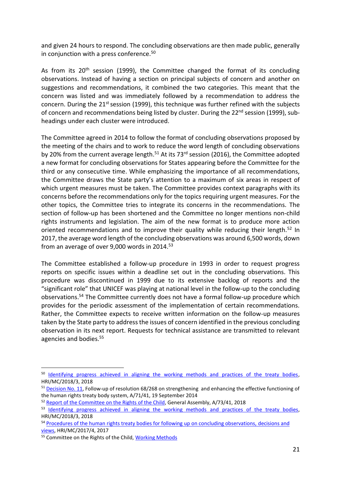and given 24 hours to respond. The concluding observations are then made public, generally in conjunction with a press conference.<sup>50</sup>

As from its  $20<sup>th</sup>$  session (1999), the Committee changed the format of its concluding observations. Instead of having a section on principal subjects of concern and another on suggestions and recommendations, it combined the two categories. This meant that the concern was listed and was immediately followed by a recommendation to address the concern. During the  $21<sup>st</sup>$  session (1999), this technique was further refined with the subjects of concern and recommendations being listed by cluster. During the 22<sup>nd</sup> session (1999), subheadings under each cluster were introduced.

The Committee agreed in 2014 to follow the format of concluding observations proposed by the meeting of the chairs and to work to reduce the word length of concluding observations by 20% from the current average length.<sup>51</sup> At its 73<sup>rd</sup> session (2016), the Committee adopted a new format for concluding observations for States appearing before the Committee for the third or any consecutive time. While emphasizing the importance of all recommendations, the Committee draws the State party's attention to a maximum of six areas in respect of which urgent measures must be taken. The Committee provides context paragraphs with its concerns before the recommendations only for the topics requiring urgent measures. For the other topics, the Committee tries to integrate its concerns in the recommendations. The section of follow-up has been shortened and the Committee no longer mentions non-child rights instruments and legislation. The aim of the new format is to produce more action oriented recommendations and to improve their quality while reducing their length.<sup>52</sup> In 2017, the average word length of the concluding observations was around 6,500 words, down from an average of over 9,000 words in 2014.<sup>53</sup>

The Committee established a follow-up procedure in 1993 in order to request progress reports on specific issues within a deadline set out in the concluding observations. This procedure was discontinued in 1999 due to its extensive backlog of reports and the "significant role" that UNICEF was playing at national level in the follow-up to the concluding observations.<sup>54</sup> The Committee currently does not have a formal follow-up procedure which provides for the periodic assessment of the implementation of certain recommendations. Rather, the Committee expects to receive written information on the follow-up measures taken by the State party to address the issues of concern identified in the previous concluding observation in its next report. Requests for technical assistance are transmitted to relevant agencies and bodies.<sup>55</sup>

<sup>&</sup>lt;sup>50</sup> [Identifying progress achieved in aligning the working methods and practices of the treaty bodies,](https://tbinternet.ohchr.org/_layouts/15/treatybodyexternal/Download.aspx?symbolno=HRI/MC/2018/3&Lang=en) HRI/MC/2018/3, 2018

<sup>51</sup> [Decision No. 11,](https://undocs.org/A/71/41) Follow-up of resolution 68/268 on strengthening and enhancing the effective functioning of the human rights treaty body system, A/71/41, 19 September 2014

<sup>&</sup>lt;sup>52</sup> [Report of the Committee on the Rights of the Child,](https://undocs.org/A/73/41) General Assembly, A/73/41, 2018

<sup>&</sup>lt;sup>53</sup> [Identifying progress achieved in aligning the working methods](https://tbinternet.ohchr.org/_layouts/15/treatybodyexternal/Download.aspx?symbolno=HRI/MC/2018/3&Lang=en) and practices of the treaty bodies, HRI/MC/2018/3, 2018

<sup>&</sup>lt;sup>54</sup> [Procedures of the human rights treaty bodies for following up on concluding observations, decisions](https://www.google.com/url?sa=t&rct=j&q=&esrc=s&source=web&cd=3&ved=2ahUKEwjMxM6u4qfjAhUfQEEAHYUNABgQFjACegQIAxAC&url=https%3A%2F%2Fwww.ohchr.org%2FDocuments%2FHRBodies%2FTB%2FAnnualMeeting%2F29Meeting%2FFollowupConcludingObservations.docx&usg=AOvVaw2h_jx-DCYM5YLxT6k_pT3L) and [views,](https://www.google.com/url?sa=t&rct=j&q=&esrc=s&source=web&cd=3&ved=2ahUKEwjMxM6u4qfjAhUfQEEAHYUNABgQFjACegQIAxAC&url=https%3A%2F%2Fwww.ohchr.org%2FDocuments%2FHRBodies%2FTB%2FAnnualMeeting%2F29Meeting%2FFollowupConcludingObservations.docx&usg=AOvVaw2h_jx-DCYM5YLxT6k_pT3L) HRI/MC/2017/4, 2017

<sup>55</sup> Committee on the Rights of the Child, [Working Methods](https://www.ohchr.org/Documents/HRBodies/CRC/WorkingMethodsCRC.doc)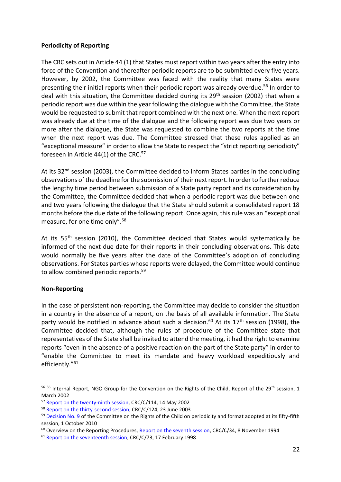# **Periodicity of Reporting**

The CRC sets out in Article 44 (1) that States must report within two years after the entry into force of the Convention and thereafter periodic reports are to be submitted every five years. However, by 2002, the Committee was faced with the reality that many States were presenting their initial reports when their periodic report was already overdue.<sup>56</sup> In order to deal with this situation, the Committee decided during its  $29<sup>th</sup>$  session (2002) that when a periodic report was due within the year following the dialogue with the Committee, the State would be requested to submit that report combined with the next one. When the next report was already due at the time of the dialogue and the following report was due two years or more after the dialogue, the State was requested to combine the two reports at the time when the next report was due. The Committee stressed that these rules applied as an "exceptional measure" in order to allow the State to respect the "strict reporting periodicity" foreseen in Article  $44(1)$  of the CRC. $^{\mathrm{57}}$ 

At its 32<sup>nd</sup> session (2003), the Committee decided to inform States parties in the concluding observations of the deadline for the submission of their next report. In order to further reduce the lengthy time period between submission of a State party report and its consideration by the Committee, the Committee decided that when a periodic report was due between one and two years following the dialogue that the State should submit a consolidated report 18 months before the due date of the following report. Once again, this rule was an "exceptional measure, for one time only".<sup>58</sup>

At its 55<sup>th</sup> session (2010), the Committee decided that States would systematically be informed of the next due date for their reports in their concluding observations. This date would normally be five years after the date of the Committee's adoption of concluding observations. For States parties whose reports were delayed, the Committee would continue to allow combined periodic reports.<sup>59</sup>

# **Non-Reporting**

In the case of persistent non-reporting, the Committee may decide to consider the situation in a country in the absence of a report, on the basis of all available information. The State party would be notified in advance about such a decision.<sup>60</sup> At its  $17<sup>th</sup>$  session (1998), the Committee decided that, although the rules of procedure of the Committee state that representatives of the State shall be invited to attend the meeting, it had the right to examine reports "even in the absence of a positive reaction on the part of the State party" in order to "enable the Committee to meet its mandate and heavy workload expeditiously and efficiently."<sup>61</sup>

<sup>56 56</sup> Internal Report, NGO Group for the Convention on the Rights of the Child, Report of the 29<sup>th</sup> session, 1 March 2002

<sup>&</sup>lt;sup>57</sup> [Report on the twenty-ninth session,](https://tbinternet.ohchr.org/_layouts/15/treatybodyexternal/Download.aspx?symbolno=CRC%2fC%2f114&Lang=en) CRC/C/114, 14 May 2002

<sup>58</sup> [Report on the thirty-second session,](https://tbinternet.ohchr.org/_layouts/15/treatybodyexternal/Download.aspx?symbolno=CRC%2fC%2f124&Lang=en) CRC/C/124, 23 June 2003

<sup>&</sup>lt;sup>59</sup> [Decision No. 9](https://tbinternet.ohchr.org/_layouts/15/treatybodyexternal/Download.aspx?symbolno=A%2f67%2f41&Lang=en) of the Committee on the Rights of the Child on periodicity and format adopted at its fifty-fifth session, 1 October 2010

 $60$  Overview on the Reporting Procedures, [Report on the seventh session,](https://tbinternet.ohchr.org/_layouts/15/treatybodyexternal/Download.aspx?symbolno=CRC%2fC%2f34&Lang=en) CRC/C/34, 8 November 1994

<sup>&</sup>lt;sup>61</sup> [Report on the seventeenth session,](https://tbinternet.ohchr.org/_layouts/15/treatybodyexternal/Download.aspx?symbolno=CRC%2fC%2f73&Lang=en) CRC/C/73, 17 February 1998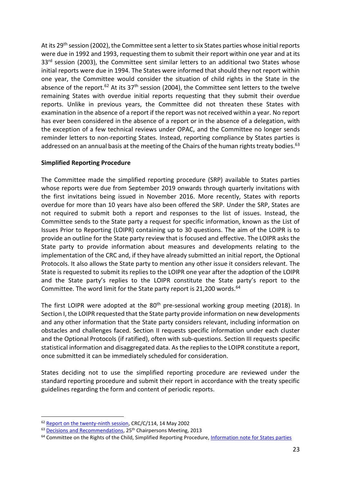At its 29<sup>th</sup> session (2002), the Committee sent a letter to six States parties whose initial reports were due in 1992 and 1993, requesting them to submit their report within one year and at its 33<sup>rd</sup> session (2003), the Committee sent similar letters to an additional two States whose initial reports were due in 1994. The States were informed that should they not report within one year, the Committee would consider the situation of child rights in the State in the absence of the report.<sup>62</sup> At its  $37<sup>th</sup>$  session (2004), the Committee sent letters to the twelve remaining States with overdue initial reports requesting that they submit their overdue reports. Unlike in previous years, the Committee did not threaten these States with examination in the absence of a report if the report was not received within a year. No report has ever been considered in the absence of a report or in the absence of a delegation, with the exception of a few technical reviews under OPAC, and the Committee no longer sends reminder letters to non-reporting States. Instead, reporting compliance by States parties is addressed on an annual basis at the meeting of the Chairs of the human rights treaty bodies.<sup>63</sup>

# **Simplified Reporting Procedure**

The Committee made the simplified reporting procedure (SRP) available to States parties whose reports were due from September 2019 onwards through quarterly invitations with the first invitations being issued in November 2016. More recently, States with reports overdue for more than 10 years have also been offered the SRP. Under the SRP, States are not required to submit both a report and responses to the list of issues. Instead, the Committee sends to the State party a request for specific information, known as the List of Issues Prior to Reporting (LOIPR) containing up to 30 questions. The aim of the LOIPR is to provide an outline for the State party review that is focused and effective. The LOIPR asks the State party to provide information about measures and developments relating to the implementation of the CRC and, if they have already submitted an initial report, the Optional Protocols. It also allows the State party to mention any other issue it considers relevant. The State is requested to submit its replies to the LOIPR one year after the adoption of the LOIPR and the State party's replies to the LOIPR constitute the State party's report to the Committee. The word limit for the State party report is 21,200 words.<sup>64</sup>

The first LOIPR were adopted at the 80<sup>th</sup> pre-sessional working group meeting (2018). In Section I, the LOIPR requested that the State party provide information on new developments and any other information that the State party considers relevant, including information on obstacles and challenges faced. Section II requests specific information under each cluster and the Optional Protocols (if ratified), often with sub-questions. Section III requests specific statistical information and disaggregated data. As the replies to the LOIPR constitute a report, once submitted it can be immediately scheduled for consideration.

States deciding not to use the simplified reporting procedure are reviewed under the standard reporting procedure and submit their report in accordance with the treaty specific guidelines regarding the form and content of periodic reports.

<sup>&</sup>lt;sup>62</sup> [Report on the twenty-ninth session,](https://tbinternet.ohchr.org/_layouts/15/treatybodyexternal/Download.aspx?symbolno=CRC%2fC%2f114&Lang=en) CRC/C/114, 14 May 2002

<sup>&</sup>lt;sup>63</sup> [Decisions and Recommendations,](https://tbinternet.ohchr.org/_layouts/15/treatybodyexternal/Download.aspx?symbolno=INT%2fCHAIRPERSONS%2fCHR%2f25%2f19775&Lang=en) 25<sup>th</sup> Chairpersons Meeting, 2013

<sup>&</sup>lt;sup>64</sup> Committee on the Rights of the Child, Simplified Reporting Procedure, *Information note for States parties*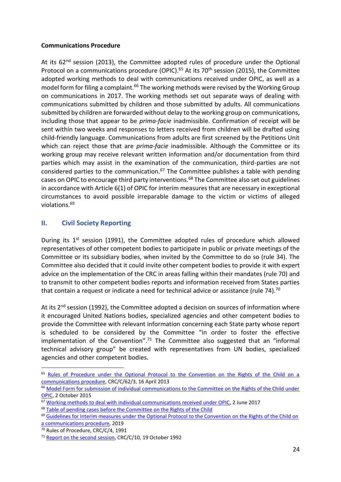# **Communications Procedure**

At its  $62^{nd}$  session (2013), the Committee adopted rules of procedure under the Optional Protocol on a communications procedure (OPIC).<sup>65</sup> At its 70<sup>th</sup> session (2015), the Committee adopted working methods to deal with communications received under OPIC, as well as a model form for filing a complaint.<sup>66</sup> The working methods were revised by the Working Group on communications in 2017. The working methods set out separate ways of dealing with communications submitted by children and those submitted by adults. All communications submitted by children are forwarded without delay to the working group on communications, including those that appear to be *prima-facie* inadmissible. Confirmation of receipt will be sent within two weeks and responses to letters received from children will be drafted using child-friendly language. Communications from adults are first screened by the Petitions Unit which can reject those that are *prima-facie* inadmissible. Although the Committee or its working group may receive relevant written information and/or documentation from third parties which may assist in the examination of the communication, third-parties are not considered parties to the communication. $67$  The Committee publishes a table with pending cases on OPIC to encourage third party interventions.<sup>68</sup> The Committee also set out guidelines in accordance with Article 6(1) of OPIC for interim measures that are necessary in exceptional circumstances to avoid possible irreparable damage to the victim or victims of alleged violations.<sup>69</sup>

# <span id="page-23-0"></span>**II. Civil Society Reporting**

During its 1<sup>st</sup> session (1991), the Committee adopted rules of procedure which allowed representatives of other competent bodies to participate in public or private meetings of the Committee or its subsidiary bodies, when invited by the Committee to do so (rule 34). The Committee also decided that it could invite other competent bodies to provide it with expert advice on the implementation of the CRC in areas falling within their mandates (rule 70) and to transmit to other competent bodies reports and information received from States parties that contain a request or indicate a need for technical advice or assistance (rule 74).<sup>70</sup>

At its 2<sup>nd</sup> session (1992), the Committee adopted a decision on sources of information where it encouraged United Nations bodies, specialized agencies and other competent bodies to provide the Committee with relevant information concerning each State party whose report is scheduled to be considered by the Committee "in order to foster the effective implementation of the Convention".<sup>71</sup> The Committee also suggested that an "informal technical advisory group" be created with representatives from UN bodies, specialized agencies and other competent bodies.

<sup>&</sup>lt;sup>65</sup> Rules of Procedure under the Optional Protocol to the Convention on the Rights of the Child on a [communications procedure,](https://tbinternet.ohchr.org/_layouts/15/treatybodyexternal/Download.aspx?symbolno=CRC/C/62/3&Lang=en) CRC/C/62/3, 16 April 2013

<sup>&</sup>lt;sup>66</sup> Model Form for submission of individual communications to the Committee on the Rights of the Child under [OPIC,](https://www.ohchr.org/Documents/HRBodies/CRC/ModelCommunicationForm_en.pdf) 2 October 2015

<sup>67</sup> [Working methods to deal with individual communications received under OPIC,](https://www.ohchr.org/Documents/HRBodies/CRC/WorkingMethodsOPIC.pdf) 2 June 2017

<sup>&</sup>lt;sup>68</sup> [Table of pending cases before the Committee on the Rights of the Child](https://www.ohchr.org/Documents/HRBodies/CRC/TablePendingCases.pdf)

<sup>&</sup>lt;sup>69</sup> Guidelines for Interim measures under the Optional Protocol to the Convention on the Rights of the Child on [a communications procedure,](https://www.ohchr.org/Documents/HRBodies/CRC/GuidelinesInterimMeasures.docx) 2019

<sup>&</sup>lt;sup>70</sup> Rules of Procedure, CRC/C/4, 1991

<sup>&</sup>lt;sup>71</sup> [Report on the second session,](https://tbinternet.ohchr.org/_layouts/15/treatybodyexternal/Download.aspx?symbolno=CRC%2fC%2f10&Lang=en) CRC/C/10, 19 October 1992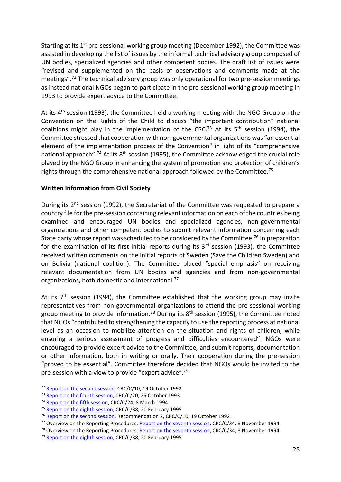Starting at its 1<sup>st</sup> pre-sessional working group meeting (December 1992), the Committee was assisted in developing the list of issues by the informal technical advisory group composed of UN bodies, specialized agencies and other competent bodies. The draft list of issues were "revised and supplemented on the basis of observations and comments made at the meetings".<sup>72</sup> The technical advisory group was only operational for two pre-session meetings as instead national NGOs began to participate in the pre-sessional working group meeting in 1993 to provide expert advice to the Committee.

At its 4<sup>th</sup> session (1993), the Committee held a working meeting with the NGO Group on the Convention on the Rights of the Child to discuss "the important contribution" national coalitions might play in the implementation of the CRC.<sup>73</sup> At its  $5<sup>th</sup>$  session (1994), the Committee stressed that cooperation with non-governmental organizations was "an essential element of the implementation process of the Convention" in light of its "comprehensive national approach".<sup>74</sup> At its 8<sup>th</sup> session (1995), the Committee acknowledged the crucial role played by the NGO Group in enhancing the system of promotion and protection of children's rights through the comprehensive national approach followed by the Committee.<sup>75</sup>

# **Written Information from Civil Society**

During its 2<sup>nd</sup> session (1992), the Secretariat of the Committee was requested to prepare a country file for the pre-session containing relevant information on each of the countries being examined and encouraged UN bodies and specialized agencies, non-governmental organizations and other competent bodies to submit relevant information concerning each State party whose report was scheduled to be considered by the Committee.<sup>76</sup> In preparation for the examination of its first initial reports during its  $3<sup>rd</sup>$  session (1993), the Committee received written comments on the initial reports of Sweden (Save the Children Sweden) and on Bolivia (national coalition). The Committee placed "special emphasis" on receiving relevant documentation from UN bodies and agencies and from non-governmental organizations, both domestic and international.<sup>77</sup>

At its  $7<sup>th</sup>$  session (1994), the Committee established that the working group may invite representatives from non-governmental organizations to attend the pre-sessional working group meeting to provide information.<sup>78</sup> During its 8<sup>th</sup> session (1995), the Committee noted that NGOs "contributed to strengthening the capacity to use the reporting process at national level as an occasion to mobilize attention on the situation and rights of children, while ensuring a serious assessment of progress and difficulties encountered". NGOs were encouraged to provide expert advice to the Committee, and submit reports, documentation or other information, both in writing or orally. Their cooperation during the pre-session "proved to be essential". Committee therefore decided that NGOs would be invited to the pre-session with a view to provide "expert advice".<sup>79</sup>

<sup>72</sup> [Report on the second session,](https://tbinternet.ohchr.org/_layouts/15/treatybodyexternal/Download.aspx?symbolno=CRC%2fC%2f10&Lang=en) CRC/C/10, 19 October 1992

<sup>&</sup>lt;sup>73</sup> [Report on the fourth session,](https://tbinternet.ohchr.org/_layouts/15/treatybodyexternal/Download.aspx?symbolno=CRC%2fC%2f20&Lang=en) CRC/C/20, 25 October 1993

<sup>&</sup>lt;sup>74</sup> [Report on the fifth session,](https://tbinternet.ohchr.org/_layouts/15/treatybodyexternal/Download.aspx?symbolno=CRC%2fC%2f24&Lang=en) CRC/C/24, 8 March 1994

<sup>&</sup>lt;sup>75</sup> [Report on the eighth session,](https://tbinternet.ohchr.org/_layouts/15/treatybodyexternal/Download.aspx?symbolno=CRC%2fC%2f38&Lang=en) CRC/C/38, 20 February 1995

<sup>&</sup>lt;sup>76</sup> [Report on the second session,](https://tbinternet.ohchr.org/_layouts/15/treatybodyexternal/Download.aspx?symbolno=CRC%2fC%2f10&Lang=en) Recommendation 2, CRC/C/10, 19 October 1992

<sup>&</sup>lt;sup>77</sup> Overview on the Reporting Procedures, [Report on the seventh session,](https://tbinternet.ohchr.org/_layouts/15/treatybodyexternal/Download.aspx?symbolno=CRC%2fC%2f34&Lang=en) CRC/C/34, 8 November 1994

 $78$  Overview on the Reporting Procedures, [Report on the seventh session,](https://tbinternet.ohchr.org/_layouts/15/treatybodyexternal/Download.aspx?symbolno=CRC%2fC%2f34&Lang=en) CRC/C/34, 8 November 1994

<sup>&</sup>lt;sup>79</sup> [Report on the eighth session,](https://tbinternet.ohchr.org/_layouts/15/treatybodyexternal/Download.aspx?symbolno=CRC%2fC%2f38&Lang=en) CRC/C/38, 20 February 1995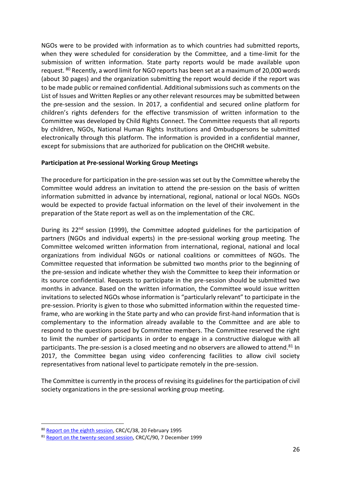NGOs were to be provided with information as to which countries had submitted reports, when they were scheduled for consideration by the Committee, and a time-limit for the submission of written information. State party reports would be made available upon request. <sup>80</sup> Recently, a word limit for NGO reports has been set at a maximum of 20,000 words (about 30 pages) and the organization submitting the report would decide if the report was to be made public or remained confidential. Additional submissions such as comments on the List of Issues and Written Replies or any other relevant resources may be submitted between the pre-session and the session. In 2017, a confidential and secured online platform for children's rights defenders for the effective transmission of written information to the Committee was developed by Child Rights Connect. The Committee requests that all reports by children, NGOs, National Human Rights Institutions and Ombudspersons be submitted electronically through this platform. The information is provided in a confidential manner, except for submissions that are authorized for publication on the OHCHR website.

# **Participation at Pre-sessional Working Group Meetings**

The procedure for participation in the pre-session was set out by the Committee whereby the Committee would address an invitation to attend the pre-session on the basis of written information submitted in advance by international, regional, national or local NGOs. NGOs would be expected to provide factual information on the level of their involvement in the preparation of the State report as well as on the implementation of the CRC.

During its  $22<sup>nd</sup>$  session (1999), the Committee adopted guidelines for the participation of partners (NGOs and individual experts) in the pre-sessional working group meeting. The Committee welcomed written information from international, regional, national and local organizations from individual NGOs or national coalitions or committees of NGOs. The Committee requested that information be submitted two months prior to the beginning of the pre-session and indicate whether they wish the Committee to keep their information or its source confidential. Requests to participate in the pre-session should be submitted two months in advance. Based on the written information, the Committee would issue written invitations to selected NGOs whose information is "particularly relevant" to participate in the pre-session. Priority is given to those who submitted information within the requested timeframe, who are working in the State party and who can provide first-hand information that is complementary to the information already available to the Committee and are able to respond to the questions posed by Committee members. The Committee reserved the right to limit the number of participants in order to engage in a constructive dialogue with all participants. The pre-session is a closed meeting and no observers are allowed to attend.<sup>81</sup> In 2017, the Committee began using video conferencing facilities to allow civil society representatives from national level to participate remotely in the pre-session.

The Committee is currently in the process of revising its guidelines for the participation of civil society organizations in the pre-sessional working group meeting.

<sup>80</sup> [Report on the eighth session,](https://tbinternet.ohchr.org/_layouts/15/treatybodyexternal/Download.aspx?symbolno=CRC%2fC%2f38&Lang=en) CRC/C/38, 20 February 1995

<sup>81</sup> [Report on the twenty-second session,](https://tbinternet.ohchr.org/_layouts/15/treatybodyexternal/Download.aspx?symbolno=CRC%2fC%2f90&Lang=en) CRC/C/90, 7 December 1999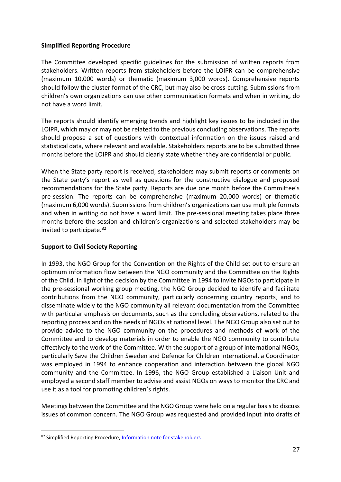# **Simplified Reporting Procedure**

The Committee developed specific guidelines for the submission of written reports from stakeholders. Written reports from stakeholders before the LOIPR can be comprehensive (maximum 10,000 words) or thematic (maximum 3,000 words). Comprehensive reports should follow the cluster format of the CRC, but may also be cross-cutting. Submissions from children's own organizations can use other communication formats and when in writing, do not have a word limit.

The reports should identify emerging trends and highlight key issues to be included in the LOIPR, which may or may not be related to the previous concluding observations. The reports should propose a set of questions with contextual information on the issues raised and statistical data, where relevant and available. Stakeholders reports are to be submitted three months before the LOIPR and should clearly state whether they are confidential or public.

When the State party report is received, stakeholders may submit reports or comments on the State party's report as well as questions for the constructive dialogue and proposed recommendations for the State party. Reports are due one month before the Committee's pre-session. The reports can be comprehensive (maximum 20,000 words) or thematic (maximum 6,000 words). Submissions from children's organizations can use multiple formats and when in writing do not have a word limit. The pre-sessional meeting takes place three months before the session and children's organizations and selected stakeholders may be invited to participate.<sup>82</sup>

# **Support to Civil Society Reporting**

In 1993, the NGO Group for the Convention on the Rights of the Child set out to ensure an optimum information flow between the NGO community and the Committee on the Rights of the Child. In light of the decision by the Committee in 1994 to invite NGOs to participate in the pre-sessional working group meeting, the NGO Group decided to identify and facilitate contributions from the NGO community, particularly concerning country reports, and to disseminate widely to the NGO community all relevant documentation from the Committee with particular emphasis on documents, such as the concluding observations, related to the reporting process and on the needs of NGOs at national level. The NGO Group also set out to provide advice to the NGO community on the procedures and methods of work of the Committee and to develop materials in order to enable the NGO community to contribute effectively to the work of the Committee. With the support of a group of international NGOs, particularly Save the Children Sweden and Defence for Children International, a Coordinator was employed in 1994 to enhance cooperation and interaction between the global NGO community and the Committee. In 1996, the NGO Group established a Liaison Unit and employed a second staff member to advise and assist NGOs on ways to monitor the CRC and use it as a tool for promoting children's rights.

Meetings between the Committee and the NGO Group were held on a regular basis to discuss issues of common concern. The NGO Group was requested and provided input into drafts of

<sup>82</sup> Simplified Reporting Procedure, [Information note for stakeholders](https://www.ohchr.org/Documents/HRBodies/CRC/InfoNoteStakeholdersSRP.docx)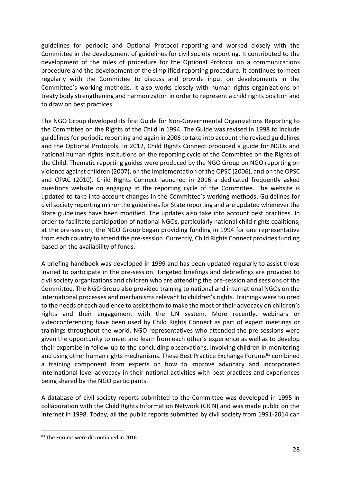guidelines for periodic and Optional Protocol reporting and worked closely with the Committee in the development of guidelines for civil society reporting. It contributed to the development of the rules of procedure for the Optional Protocol on a communications procedure and the development of the simplified reporting procedure. It continues to meet regularly with the Committee to discuss and provide input on developments in the Committee's working methods. It also works closely with human rights organizations on treaty body strengthening and harmonization in order to represent a child rights position and to draw on best practices.

The NGO Group developed its first Guide for Non-Governmental Organizations Reporting to the Committee on the Rights of the Child in 1994. The Guide was revised in 1998 to include guidelines for periodic reporting and again in 2006 to take into account the revised guidelines and the Optional Protocols. In 2012, Child Rights Connect produced a guide for NGOs and national human rights institutions on the reporting cycle of the Committee on the Rights of the Child. Thematic reporting guides were produced by the NGO Group on NGO reporting on violence against children (2007), on the implementation of the OPSC (2006), and on the OPSC and OPAC (2010). Child Rights Connect launched in 2016 a dedicated frequently asked questions website on engaging in the reporting cycle of the Committee. The website is updated to take into account changes in the Committee's working methods. Guidelines for civil society reporting mirror the guidelines for State reporting and are updated whenever the State guidelines have been modified. The updates also take into account best practices. In order to facilitate participation of national NGOs, particularly national child rights coalitions, at the pre-session, the NGO Group began providing funding in 1994 for one representative from each country to attend the pre-session. Currently, Child Rights Connect provides funding based on the availability of funds.

A briefing handbook was developed in 1999 and has been updated regularly to assist those invited to participate in the pre-session. Targeted briefings and debriefings are provided to civil society organizations and children who are attending the pre-session and sessions of the Committee. The NGO Group also provided training to national and international NGOs on the international processes and mechanisms relevant to children's rights. Trainings were tailored to the needs of each audience to assist them to make the most of their advocacy on children's rights and their engagement with the UN system. More recently, webinars or videoconferencing have been used by Child Rights Connect as part of expert meetings or trainings throughout the world. NGO representatives who attended the pre-sessions were given the opportunity to meet and learn from each other's experience as well as to develop their expertise in follow-up to the concluding observations, involving children in monitoring and using other human rights mechanisms. These Best Practice Exchange Forums<sup>83</sup> combined a training component from experts on how to improve advocacy and incorporated international level advocacy in their national activities with best practices and experiences being shared by the NGO participants.

A database of civil society reports submitted to the Committee was developed in 1995 in collaboration with the Child Rights Information Network (CRIN) and was made public on the internet in 1998. Today, all the public reports submitted by civil society from 1991-2014 can

<sup>83</sup> The Forums were discontinued in 2016.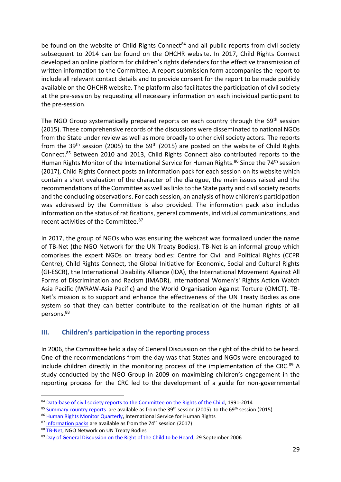be found on the website of Child Rights Connect<sup>84</sup> and all public reports from civil society subsequent to 2014 can be found on the OHCHR website. In 2017, Child Rights Connect developed an online platform for children's rights defenders for the effective transmission of written information to the Committee. A report submission form accompanies the report to include all relevant contact details and to provide consent for the report to be made publicly available on the OHCHR website. The platform also facilitates the participation of civil society at the pre-session by requesting all necessary information on each individual participant to the pre-session.

The NGO Group systematically prepared reports on each country through the 69<sup>th</sup> session (2015). These comprehensive records of the discussions were disseminated to national NGOs from the State under review as well as more broadly to other civil society actors. The reports from the 39<sup>th</sup> session (2005) to the 69<sup>th</sup> (2015) are posted on the website of Child Rights Connect.<sup>85</sup> Between 2010 and 2013, Child Rights Connect also contributed reports to the Human Rights Monitor of the International Service for Human Rights.<sup>86</sup> Since the 74<sup>th</sup> session (2017), Child Rights Connect posts an information pack for each session on its website which contain a short evaluation of the character of the dialogue, the main issues raised and the recommendations of the Committee as well as links to the State party and civil society reports and the concluding observations. For each session, an analysis of how children's participation was addressed by the Committee is also provided. The information pack also includes information on the status of ratifications, general comments, individual communications, and recent activities of the Committee.<sup>87</sup>

In 2017, the group of NGOs who was ensuring the webcast was formalized under the name of TB-Net (the NGO Network for the UN Treaty Bodies). TB-Net is an informal group which comprises the expert NGOs on treaty bodies: Centre for Civil and Political Rights (CCPR Centre), Child Rights Connect, the Global Initiative for Economic, Social and Cultural Rights (GI-ESCR), the International Disability Alliance (IDA), the International Movement Against All Forms of Discrimination and Racism (IMADR), International Women's' Rights Action Watch Asia Pacific (IWRAW-Asia Pacific) and the World Organisation Against Torture (OMCT). TB-Net's mission is to support and enhance the effectiveness of the UN Treaty Bodies as one system so that they can better contribute to the realisation of the human rights of all persons. 88

# <span id="page-28-0"></span>**III. Children's participation in the reporting process**

In 2006, the Committee held a day of General Discussion on the right of the child to be heard. One of the recommendations from the day was that States and NGOs were encouraged to include children directly in the monitoring process of the implementation of the CRC.<sup>89</sup> A study conducted by the NGO Group in 2009 on maximizing children's engagement in the reporting process for the CRC led to the development of a guide for non-governmental

<sup>84</sup> [Data-base of civil society reports to the Committee on the Rights of the Child,](https://www.childrightsconnect.org/alternative-report-archive/) 1991-2014

<sup>&</sup>lt;sup>85</sup> Summary [country reports](https://www.childrightsconnect.org/crc-sessions-and-webcasting/) are available as from the 39<sup>th</sup> session (2005) to the 69<sup>th</sup> session (2015)

<sup>86</sup> [Human Rights Monitor Quarterly,](https://www.ishr.ch/human-rights-monitor) International Service for Human Rights

 $87$  [Information packs](https://www.childrightsconnect.org/crc-sessions-and-webcasting/) are available as from the 74<sup>th</sup> session (2017)

<sup>88</sup> [TB-Net,](https://www.facebook.com/UNTBNet/) NGO Network on UN Treaty Bodies

<sup>89</sup> [Day of General Discussion on the Right of the Child to be Heard,](https://www.ohchr.org/Documents/HRBodies/CRC/Discussions/Recommendations/Recommendations2006.doc) 29 September 2006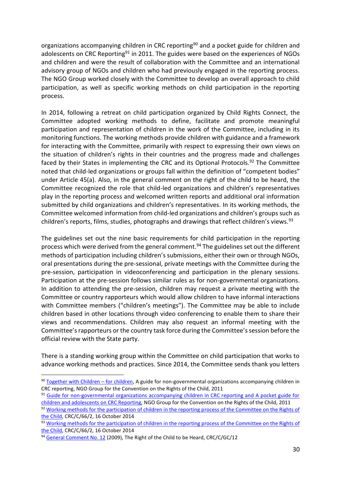organizations accompanying children in CRC reporting<sup>90</sup> and a pocket guide for children and adolescents on CRC Reporting<sup>91</sup> in 2011. The guides were based on the experiences of NGOs and children and were the result of collaboration with the Committee and an international advisory group of NGOs and children who had previously engaged in the reporting process. The NGO Group worked closely with the Committee to develop an overall approach to child participation, as well as specific working methods on child participation in the reporting process.

In 2014, following a retreat on child participation organized by Child Rights Connect, the Committee adopted working methods to define, facilitate and promote meaningful participation and representation of children in the work of the Committee, including in its monitoring functions. The working methods provide children with guidance and a framework for interacting with the Committee, primarily with respect to expressing their own views on the situation of children's rights in their countries and the progress made and challenges faced by their States in implementing the CRC and its Optional Protocols.<sup>92</sup> The Committee noted that child-led organizations or groups fall within the definition of "competent bodies" under Article 45(a). Also, in the general comment on the right of the child to be heard, the Committee recognized the role that child-led organizations and children's representatives play in the reporting process and welcomed written reports and additional oral information submitted by child organizations and children's representatives. In its working methods, the Committee welcomed information from child-led organizations and children's groups such as children's reports, films, studies, photographs and drawings that reflect children's views.<sup>93</sup>

The guidelines set out the nine basic requirements for child participation in the reporting process which were derived from the general comment. <sup>94</sup> The guidelines set out the different methods of participation including children's submissions, either their own or through NGOs, oral presentations during the pre-sessional, private meetings with the Committee during the pre-session, participation in videoconferencing and participation in the plenary sessions. Participation at the pre-session follows similar rules as for non-governmental organizations. In addition to attending the pre-session, children may request a private meeting with the Committee or country rapporteurs which would allow children to have informal interactions with Committee members ("children's meetings"). The Committee may be able to include children based in other locations through video conferencing to enable them to share their views and recommendations. Children may also request an informal meeting with the Committee's rapporteurs or the country task force during the Committee's session before the official review with the State party.

There is a standing working group within the Committee on child participation that works to advance working methods and practices. Since 2014, the Committee sends thank you letters

<sup>90</sup> [Together with Children](https://www.childrightsconnect.org/wp-content/uploads/2013/10/With_Children_For_Children_WEB_english.pdf) – for children, A guide for non-governmental organizations accompanying children in CRC reporting, NGO Group for the Convention on the Rights of the Child, 2011

<sup>91</sup> Guide for non-governmental organizations accompanying children in CRC reporting and A pocket guide for [children and adolescents on CRC Reporting,](https://www.childrightsconnect.org/wp-content/uploads/2013/10/With_Children_For_Children_WEB_english.pdf) NGO Group for the Convention on the Rights of the Child, 2011

<sup>92</sup> Working methods for the participation of children in the reporting process of the Committee on the Rights of [the Child,](https://tbinternet.ohchr.org/_layouts/treatybodyexternal/Download.aspx?symbolno=CRC/C/66/2&Lang=en) CRC/C/66/2, 16 October 2014

<sup>93</sup> Working methods for the participation of children in the reporting process of the Committee on the Rights of [the Child,](https://tbinternet.ohchr.org/_layouts/treatybodyexternal/Download.aspx?symbolno=CRC/C/66/2&Lang=en) CRC/C/66/2, 16 October 2014

<sup>&</sup>lt;sup>94</sup> [General Comment No. 12](https://tbinternet.ohchr.org/_layouts/15/treatybodyexternal/Download.aspx?symbolno=CRC%2fC%2fGC%2f12&Lang=en) (2009), The Right of the Child to be Heard, CRC/C/GC/12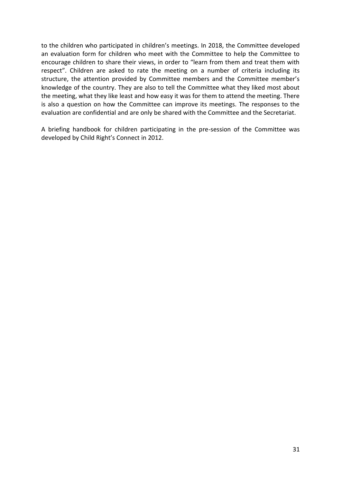to the children who participated in children's meetings. In 2018, the Committee developed an evaluation form for children who meet with the Committee to help the Committee to encourage children to share their views, in order to "learn from them and treat them with respect". Children are asked to rate the meeting on a number of criteria including its structure, the attention provided by Committee members and the Committee member's knowledge of the country. They are also to tell the Committee what they liked most about the meeting, what they like least and how easy it was for them to attend the meeting. There is also a question on how the Committee can improve its meetings. The responses to the evaluation are confidential and are only be shared with the Committee and the Secretariat.

A briefing handbook for children participating in the pre-session of the Committee was developed by Child Right's Connect in 2012.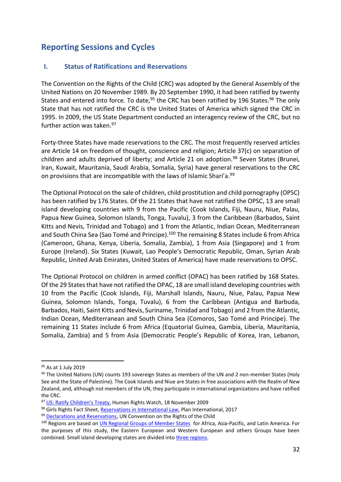# <span id="page-31-0"></span>**Reporting Sessions and Cycles**

# <span id="page-31-1"></span>**I. Status of Ratifications and Reservations**

The Convention on the Rights of the Child (CRC) was adopted by the General Assembly of the United Nations on 20 November 1989. By 20 September 1990, it had been ratified by twenty States and entered into force. To date,  $95$  the CRC has been ratified by 196 States.  $96$  The only State that has not ratified the CRC is the United States of America which signed the CRC in 1995. In 2009, the US State Department conducted an interagency review of the CRC, but no further action was taken.<sup>97</sup>

Forty-three States have made reservations to the CRC. The most frequently reserved articles are Article 14 on freedom of thought, conscience and religion; Article 37(c) on separation of children and adults deprived of liberty; and Article 21 on adoption.<sup>98</sup> Seven States (Brunei, Iran, Kuwait, Mauritania, Saudi Arabia, Somalia, Syria) have general reservations to the CRC on provisions that are incompatible with the laws of Islamic Shari'a.<sup>99</sup>

The Optional Protocol on the sale of children, child prostitution and child pornography (OPSC) has been ratified by 176 States. Of the 21 States that have not ratified the OPSC, 13 are small island developing countries with 9 from the Pacific (Cook Islands, Fiji, Nauru, Niue, Palau, Papua New Guinea, Solomon Islands, Tonga, Tuvalu), 3 from the Caribbean (Barbados, Saint Kitts and Nevis, Trinidad and Tobago) and 1 from the Atlantic, Indian Ocean, Mediterranean and South China Sea (Sao Tomé and Principe).<sup>100</sup> The remaining 8 States include 6 from Africa (Cameroon, Ghana, Kenya, Liberia, Somalia, Zambia), 1 from Asia (Singapore) and 1 from Europe (Ireland). Six States (Kuwait, Lao People's Democratic Republic, Oman, Syrian Arab Republic, United Arab Emirates, United States of America) have made reservations to OPSC.

The Optional Protocol on children in armed conflict (OPAC) has been ratified by 168 States. Of the 29 States that have not ratified the OPAC, 18 are small island developing countries with 10 from the Pacific (Cook Islands, Fiji, Marshall Islands, Nauru, Niue, Palau, Papua New Guinea, Solomon Islands, Tonga, Tuvalu), 6 from the Caribbean (Antigua and Barbuda, Barbados, Haiti, Saint Kitts and Nevis, Suriname, Trinidad and Tobago) and 2 from the Atlantic, Indian Ocean, Mediterranean and South China Sea (Comoros, Sao Tomé and Principe). The remaining 11 States include 6 from Africa (Equatorial Guinea, Gambia, Liberia, Mauritania, Somalia, Zambia) and 5 from Asia (Democratic People's Republic of Korea, Iran, Lebanon,

<sup>&</sup>lt;sup>95</sup> As at 1 July 2019

<sup>96</sup> The United Nations (UN) counts 193 sovereign States as members of the UN and 2 non-member States (Holy See and the State of Palestine). The Cook Islands and Niue are States in free associations with the Realm of New Zealand, and, although not members of the UN, they participate in international organizations and have ratified the CRC.

<sup>97</sup> [US: Ratify Children's Treaty](https://www.google.com/url?sa=t&rct=j&q=&esrc=s&source=web&cd=3&cad=rja&uact=8&ved=2ahUKEwj799KDq4fjAhUHt4sKHX23DpEQFjACegQIABAB&url=https%3A%2F%2Fwww.hrw.org%2Fnews%2F2009%2F11%2F18%2Fus-ratify-childrens-treaty&usg=AOvVaw3kNlrYx-nOIFW3VNtCz_t1), Human Rights Watch, 18 November 2009

<sup>98</sup> Girls Rights Fact Sheet[, Reservations in International Law,](https://www.girlsrightsplatform.org/sites/default/files/2018-02/Factsheet_Reservations%20in%20International%20Law_EN.pdf) Plan International, 2017

<sup>99</sup> [Declarations and Reservations,](https://treaties.un.org/Pages/ViewDetails.aspx?src=TREATY&mtdsg_no=IV-11&chapter=4&clang=_en) UN Convention on the Rights of the Child

<sup>100</sup> Regions are based on *UN Regional Groups of Member States* for Africa, Asia-Pacific, and Latin America. For the purposes of this study, the Eastern European and Western European and others Groups have been combined. Small island developing states are divided into [three regions.](https://sustainabledevelopment.un.org/topics/sids/list)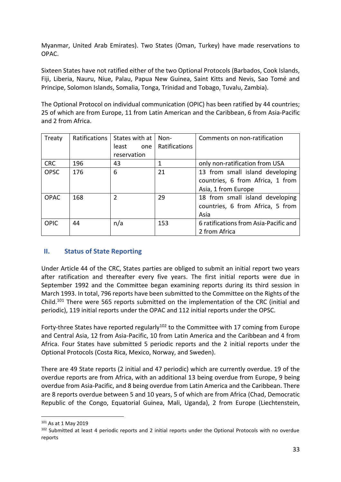Myanmar, United Arab Emirates). Two States (Oman, Turkey) have made reservations to OPAC.

Sixteen States have not ratified either of the two Optional Protocols (Barbados, Cook Islands, Fiji, Liberia, Nauru, Niue, Palau, Papua New Guinea, Saint Kitts and Nevis, Sao Tomé and Principe, Solomon Islands, Somalia, Tonga, Trinidad and Tobago, Tuvalu, Zambia).

The Optional Protocol on individual communication (OPIC) has been ratified by 44 countries; 25 of which are from Europe, 11 from Latin American and the Caribbean, 6 from Asia-Pacific and 2 from Africa.

| Treaty      | <b>Ratifications</b> | States with at | Non-          | Comments on non-ratification          |
|-------------|----------------------|----------------|---------------|---------------------------------------|
|             |                      | least<br>one   | Ratifications |                                       |
|             |                      | reservation    |               |                                       |
| <b>CRC</b>  | 196                  | 43             | 1             | only non-ratification from USA        |
| <b>OPSC</b> | 176                  | 6              | 21            | 13 from small island developing       |
|             |                      |                |               | countries, 6 from Africa, 1 from      |
|             |                      |                |               | Asia, 1 from Europe                   |
| <b>OPAC</b> | 168                  | $\mathfrak z$  | 29            | 18 from small island developing       |
|             |                      |                |               | countries, 6 from Africa, 5 from      |
|             |                      |                |               | Asia                                  |
| <b>OPIC</b> | 44                   | n/a            | 153           | 6 ratifications from Asia-Pacific and |
|             |                      |                |               | 2 from Africa                         |

# <span id="page-32-0"></span>**II. Status of State Reporting**

Under Article 44 of the CRC, States parties are obliged to submit an initial report two years after ratification and thereafter every five years. The first initial reports were due in September 1992 and the Committee began examining reports during its third session in March 1993. In total, 796 reports have been submitted to the Committee on the Rights of the Child.<sup>101</sup> There were 565 reports submitted on the implementation of the CRC (initial and periodic), 119 initial reports under the OPAC and 112 initial reports under the OPSC.

Forty-three States have reported regularly<sup>102</sup> to the Committee with 17 coming from Europe and Central Asia, 12 from Asia-Pacific, 10 from Latin America and the Caribbean and 4 from Africa. Four States have submitted 5 periodic reports and the 2 initial reports under the Optional Protocols (Costa Rica, Mexico, Norway, and Sweden).

There are 49 State reports (2 initial and 47 periodic) which are currently overdue. 19 of the overdue reports are from Africa, with an additional 13 being overdue from Europe, 9 being overdue from Asia-Pacific, and 8 being overdue from Latin America and the Caribbean. There are 8 reports overdue between 5 and 10 years, 5 of which are from Africa (Chad, Democratic Republic of the Congo, Equatorial Guinea, Mali, Uganda), 2 from Europe (Liechtenstein,

<sup>101</sup> As at 1 May 2019

<sup>&</sup>lt;sup>102</sup> Submitted at least 4 periodic reports and 2 initial reports under the Optional Protocols with no overdue reports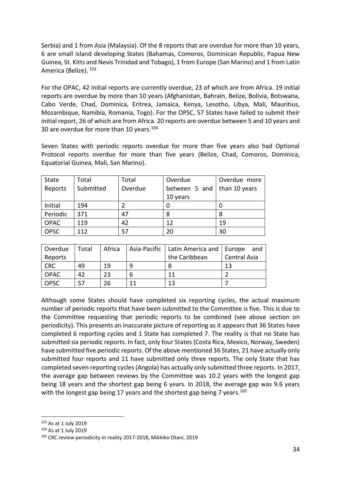Serbia) and 1 from Asia (Malaysia). Of the 8 reports that are overdue for more than 10 years, 6 are small island developing States (Bahamas, Comoros, Dominican Republic, Papua New Guinea, St. Kitts and Nevis Trinidad and Tobago), 1 from Europe (San Marino) and 1 from Latin America (Belize). 103

For the OPAC, 42 initial reports are currently overdue, 23 of which are from Africa. 19 initial reports are overdue by more than 10 years (Afghanistan, Bahrain, Belize, Bolivia, Botswana, Cabo Verde, Chad, Dominica, Eritrea, Jamaica, Kenya, Lesotho, Libya, Mali, Mauritius, Mozambique, Namibia, Romania, Togo). For the OPSC, 57 States have failed to submit their initial report, 26 of which are from Africa. 20 reports are overdue between 5 and 10 years and 30 are overdue for more than 10 years.<sup>104</sup>

Seven States with periodic reports overdue for more than five years also had Optional Protocol reports overdue for more than five years (Belize, Chad, Comoros, Dominica, Equatorial Guinea, Mali, San Marino).

| State       | Total     | Total   | Overdue       | Overdue more  |
|-------------|-----------|---------|---------------|---------------|
| Reports     | Submitted | Overdue | between 5 and | than 10 years |
|             |           |         | 10 years      |               |
| Initial     | 194       |         |               |               |
| Periodic    | 371       | 47      | 8             |               |
| <b>OPAC</b> | 119       | 42      | 12            | 19            |
| <b>OPSC</b> | 112       | 57      | 20            | 30            |

| Overdue     | Total | Africa |    | Asia-Pacific   Latin America and   Europe | and                 |
|-------------|-------|--------|----|-------------------------------------------|---------------------|
| Reports     |       |        |    | the Caribbean                             | <b>Central Asia</b> |
| <b>CRC</b>  | 49    | 19     |    |                                           | 13                  |
| <b>OPAC</b> | 42    | 23     |    |                                           |                     |
| <b>OPSC</b> |       | 26     | 11 | 13                                        |                     |

Although some States should have completed six reporting cycles, the actual maximum number of periodic reports that have been submitted to the Committee is five. This is due to the Committee requesting that periodic reports to be combined (see above section on periodicity). This presents an inaccurate picture of reporting as it appears that 36 States have completed 6 reporting cycles and 1 State has completed 7. The reality is that no State has submitted six periodic reports. In fact, only four States (Costa Rica, Mexico, Norway, Sweden) have submitted five periodic reports. Of the above mentioned 36 States, 21 have actually only submitted four reports and 11 have submitted only three reports. The only State that has completed seven reporting cycles (Angola) has actually only submitted three reports. In 2017, the average gap between reviews by the Committee was 10.2 years with the longest gap being 18 years and the shortest gap being 6 years. In 2018, the average gap was 9.6 years with the longest gap being 17 years and the shortest gap being 7 years.<sup>105</sup>

<sup>103</sup> As at 1 July 2019

<sup>104</sup> As at 1 July 2019

<sup>&</sup>lt;sup>105</sup> CRC review periodicity in reality 2017-2018, Mikkiko Otani, 2019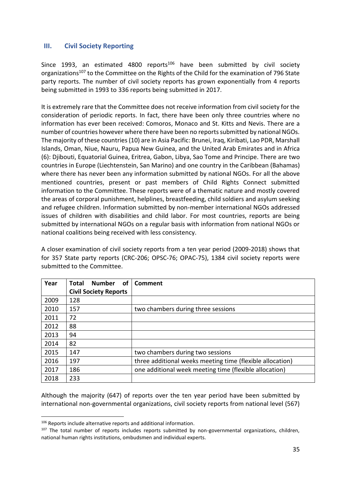# <span id="page-34-0"></span>**III. Civil Society Reporting**

Since 1993, an estimated 4800 reports<sup>106</sup> have been submitted by civil society organizations<sup>107</sup> to the Committee on the Rights of the Child for the examination of 796 State party reports. The number of civil society reports has grown exponentially from 4 reports being submitted in 1993 to 336 reports being submitted in 2017.

It is extremely rare that the Committee does not receive information from civil society for the consideration of periodic reports. In fact, there have been only three countries where no information has ever been received: Comoros, Monaco and St. Kitts and Nevis. There are a number of countries however where there have been no reports submitted by national NGOs. The majority of these countries (10) are in Asia Pacific: Brunei, Iraq, Kiribati, Lao PDR, Marshall Islands, Oman, Niue, Nauru, Papua New Guinea, and the United Arab Emirates and in Africa (6): Djibouti, Equatorial Guinea, Eritrea, Gabon, Libya, Sao Tome and Principe. There are two countries in Europe (Liechtenstein, San Marino) and one country in the Caribbean (Bahamas) where there has never been any information submitted by national NGOs. For all the above mentioned countries, present or past members of Child Rights Connect submitted information to the Committee. These reports were of a thematic nature and mostly covered the areas of corporal punishment, helplines, breastfeeding, child soldiers and asylum seeking and refugee children. Information submitted by non-member international NGOs addressed issues of children with disabilities and child labor. For most countries, reports are being submitted by international NGOs on a regular basis with information from national NGOs or national coalitions being received with less consistency.

A closer examination of civil society reports from a ten year period (2009-2018) shows that for 357 State party reports (CRC-206; OPSC-76; OPAC-75), 1384 civil society reports were submitted to the Committee.

| Year | <b>of</b><br><b>Number</b><br>Total | Comment                                                   |
|------|-------------------------------------|-----------------------------------------------------------|
|      | <b>Civil Society Reports</b>        |                                                           |
| 2009 | 128                                 |                                                           |
| 2010 | 157                                 | two chambers during three sessions                        |
| 2011 | 72                                  |                                                           |
| 2012 | 88                                  |                                                           |
| 2013 | 94                                  |                                                           |
| 2014 | 82                                  |                                                           |
| 2015 | 147                                 | two chambers during two sessions                          |
| 2016 | 197                                 | three additional weeks meeting time (flexible allocation) |
| 2017 | 186                                 | one additional week meeting time (flexible allocation)    |
| 2018 | 233                                 |                                                           |

Although the majority (647) of reports over the ten year period have been submitted by international non-governmental organizations, civil society reports from national level (567)

<sup>&</sup>lt;sup>106</sup> Reports include alternative reports and additional information.

<sup>&</sup>lt;sup>107</sup> The total number of reports includes reports submitted by non-governmental organizations, children, national human rights institutions, ombudsmen and individual experts.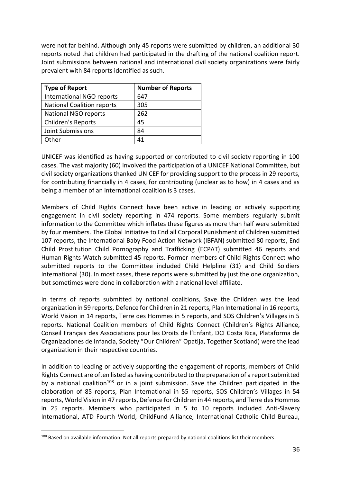were not far behind. Although only 45 reports were submitted by children, an additional 30 reports noted that children had participated in the drafting of the national coalition report. Joint submissions between national and international civil society organizations were fairly prevalent with 84 reports identified as such.

| <b>Type of Report</b>             | <b>Number of Reports</b> |
|-----------------------------------|--------------------------|
| International NGO reports         | 647                      |
| <b>National Coalition reports</b> | 305                      |
| National NGO reports              | 262                      |
| Children's Reports                | 45                       |
| <b>Joint Submissions</b>          | 84                       |
| Other                             | 41                       |

UNICEF was identified as having supported or contributed to civil society reporting in 100 cases. The vast majority (60) involved the participation of a UNICEF National Committee, but civil society organizations thanked UNICEF for providing support to the process in 29 reports, for contributing financially in 4 cases, for contributing (unclear as to how) in 4 cases and as being a member of an international coalition is 3 cases.

Members of Child Rights Connect have been active in leading or actively supporting engagement in civil society reporting in 474 reports. Some members regularly submit information to the Committee which inflates these figures as more than half were submitted by four members. The Global Initiative to End all Corporal Punishment of Children submitted 107 reports, the International Baby Food Action Network (IBFAN) submitted 80 reports, End Child Prostitution Child Pornography and Trafficking (ECPAT) submitted 46 reports and Human Rights Watch submitted 45 reports. Former members of Child Rights Connect who submitted reports to the Committee included Child Helpline (31) and Child Soldiers International (30). In most cases, these reports were submitted by just the one organization, but sometimes were done in collaboration with a national level affiliate.

In terms of reports submitted by national coalitions, Save the Children was the lead organization in 59 reports, Defence for Children in 21 reports, Plan International in 16 reports, World Vision in 14 reports, Terre des Hommes in 5 reports, and SOS Children's Villages in 5 reports. National Coalition members of Child Rights Connect (Children's Rights Alliance, Conseil Français des Associations pour les Droits de l'Enfant, DCI Costa Rica, Plataforma de Organizaciones de Infancia, Society "Our Children" Opatija, Together Scotland) were the lead organization in their respective countries.

In addition to leading or actively supporting the engagement of reports, members of Child Rights Connect are often listed as having contributed to the preparation of a report submitted by a national coalition<sup>108</sup> or in a joint submission. Save the Children participated in the elaboration of 85 reports, Plan International in 55 reports, SOS Children's Villages in 54 reports, World Vision in 47 reports, Defence for Children in 44 reports, and Terre des Hommes in 25 reports. Members who participated in 5 to 10 reports included Anti-Slavery International, ATD Fourth World, ChildFund Alliance, International Catholic Child Bureau,

<sup>108</sup> Based on available information. Not all reports prepared by national coalitions list their members.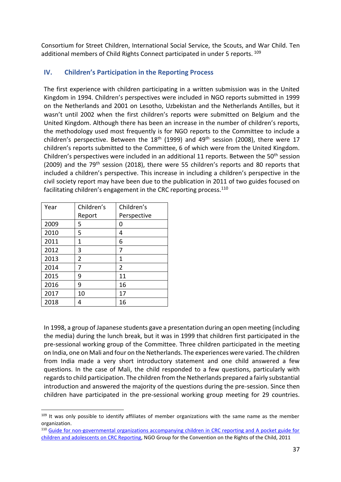Consortium for Street Children, International Social Service, the Scouts, and War Child. Ten additional members of Child Rights Connect participated in under 5 reports. 109

# <span id="page-36-0"></span>**IV. Children's Participation in the Reporting Process**

The first experience with children participating in a written submission was in the United Kingdom in 1994. Children's perspectives were included in NGO reports submitted in 1999 on the Netherlands and 2001 on Lesotho, Uzbekistan and the Netherlands Antilles, but it wasn't until 2002 when the first children's reports were submitted on Belgium and the United Kingdom. Although there has been an increase in the number of children's reports, the methodology used most frequently is for NGO reports to the Committee to include a children's perspective. Between the  $18<sup>th</sup>$  (1999) and 49<sup>th</sup> session (2008), there were 17 children's reports submitted to the Committee, 6 of which were from the United Kingdom. Children's perspectives were included in an additional 11 reports. Between the 50<sup>th</sup> session (2009) and the 79<sup>th</sup> session (2018), there were 55 children's reports and 80 reports that included a children's perspective. This increase in including a children's perspective in the civil society report may have been due to the publication in 2011 of two guides focused on facilitating children's engagement in the CRC reporting process.<sup>110</sup>

| Year | Children's     | Children's     |
|------|----------------|----------------|
|      | Report         | Perspective    |
| 2009 | 5              | 0              |
| 2010 | 5              | 4              |
| 2011 | 1              | 6              |
| 2012 | 3              | 7              |
| 2013 | $\overline{2}$ | 1              |
| 2014 | 7              | $\overline{2}$ |
| 2015 | 9              | 11             |
| 2016 | 9              | 16             |
| 2017 | 10             | 17             |
| 2018 |                | 16             |

In 1998, a group of Japanese students gave a presentation during an open meeting (including the media) during the lunch break, but it was in 1999 that children first participated in the pre-sessional working group of the Committee. Three children participated in the meeting on India, one on Mali and four on the Netherlands. The experiences were varied. The children from India made a very short introductory statement and one child answered a few questions. In the case of Mali, the child responded to a few questions, particularly with regards to child participation. The children from the Netherlands prepared a fairly substantial introduction and answered the majority of the questions during the pre-session. Since then children have participated in the pre-sessional working group meeting for 29 countries.

<sup>109</sup> It was only possible to identify affiliates of member organizations with the same name as the member organization.

<sup>110</sup> [Guide for non-governmental organizations accompanying children in CRC reporting and A pocket guide for](https://www.childrightsconnect.org/wp-content/uploads/2013/10/With_Children_For_Children_WEB_english.pdf)  [children and adolescents on CRC Reporting,](https://www.childrightsconnect.org/wp-content/uploads/2013/10/With_Children_For_Children_WEB_english.pdf) NGO Group for the Convention on the Rights of the Child, 2011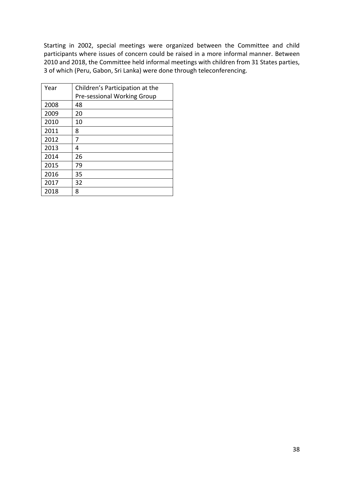Starting in 2002, special meetings were organized between the Committee and child participants where issues of concern could be raised in a more informal manner. Between 2010 and 2018, the Committee held informal meetings with children from 31 States parties, 3 of which (Peru, Gabon, Sri Lanka) were done through teleconferencing.

| Year | Children's Participation at the    |
|------|------------------------------------|
|      | <b>Pre-sessional Working Group</b> |
| 2008 | 48                                 |
| 2009 | 20                                 |
| 2010 | 10                                 |
| 2011 | 8                                  |
| 2012 | 7                                  |
| 2013 | 4                                  |
| 2014 | 26                                 |
| 2015 | 79                                 |
| 2016 | 35                                 |
| 2017 | 32                                 |
| 2018 | 8                                  |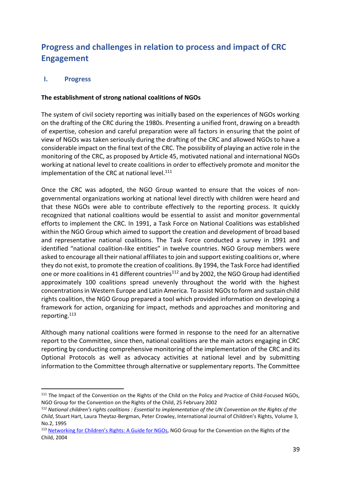# <span id="page-38-0"></span>**Progress and challenges in relation to process and impact of CRC Engagement**

# <span id="page-38-1"></span>**I. Progress**

# **The establishment of strong national coalitions of NGOs**

The system of civil society reporting was initially based on the experiences of NGOs working on the drafting of the CRC during the 1980s. Presenting a unified front, drawing on a breadth of expertise, cohesion and careful preparation were all factors in ensuring that the point of view of NGOs was taken seriously during the drafting of the CRC and allowed NGOs to have a considerable impact on the final text of the CRC. The possibility of playing an active role in the monitoring of the CRC, as proposed by Article 45, motivated national and international NGOs working at national level to create coalitions in order to effectively promote and monitor the implementation of the CRC at national level.<sup>111</sup>

Once the CRC was adopted, the NGO Group wanted to ensure that the voices of nongovernmental organizations working at national level directly with children were heard and that these NGOs were able to contribute effectively to the reporting process. It quickly recognized that national coalitions would be essential to assist and monitor governmental efforts to implement the CRC. In 1991, a Task Force on National Coalitions was established within the NGO Group which aimed to support the creation and development of broad based and representative national coalitions. The Task Force conducted a survey in 1991 and identified "national coalition-like entities" in twelve countries. NGO Group members were asked to encourage all their national affiliates to join and support existing coalitions or, where they do not exist, to promote the creation of coalitions. By 1994, the Task Force had identified one or more coalitions in 41 different countries<sup>112</sup> and by 2002, the NGO Group had identified approximately 100 coalitions spread unevenly throughout the world with the highest concentrations in Western Europe and Latin America. To assist NGOs to form and sustain child rights coalition, the NGO Group prepared a tool which provided information on developing a framework for action, organizing for impact, methods and approaches and monitoring and reporting.<sup>113</sup>

Although many national coalitions were formed in response to the need for an alternative report to the Committee, since then, national coalitions are the main actors engaging in CRC reporting by conducting comprehensive monitoring of the implementation of the CRC and its Optional Protocols as well as advocacy activities at national level and by submitting information to the Committee through alternative or supplementary reports. The Committee

<sup>&</sup>lt;sup>111</sup> The Impact of the Convention on the Rights of the Child on the Policy and Practice of Child-Focused NGOs, NGO Group for the Convention on the Rights of the Child, 25 February 2002

<sup>112</sup> *National children's rights coalitions : Essential to implementation of the UN Convention on the Rights of the Child*, Stuart Hart, Laura Theytaz-Bergman, Peter Crowley, International Journal of Children's Rights, Volume 3, No.2, 1995

<sup>&</sup>lt;sup>113</sup> [Networking for Children's Rights:](https://www.childrightsconnect.org/wp-content/uploads/2013/10/NGOCRC-a-guide-for-NGOs.pdf) A Guide for NGOs, NGO Group for the Convention on the Rights of the Child, 2004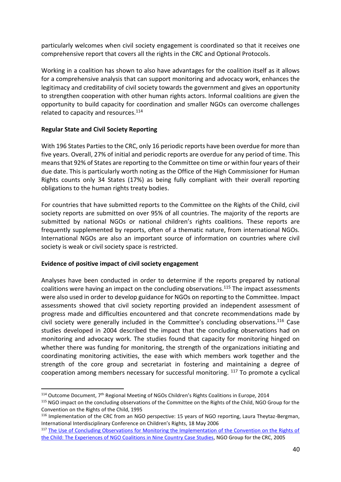particularly welcomes when civil society engagement is coordinated so that it receives one comprehensive report that covers all the rights in the CRC and Optional Protocols.

Working in a coalition has shown to also have advantages for the coalition itself as it allows for a comprehensive analysis that can support monitoring and advocacy work, enhances the legitimacy and creditability of civil society towards the government and gives an opportunity to strengthen cooperation with other human rights actors. Informal coalitions are given the opportunity to build capacity for coordination and smaller NGOs can overcome challenges related to capacity and resources.<sup>114</sup>

# **Regular State and Civil Society Reporting**

With 196 States Parties to the CRC, only 16 periodic reports have been overdue for more than five years. Overall, 27% of initial and periodic reports are overdue for any period of time. This means that 92% of States are reporting to the Committee on time or within four years of their due date. This is particularly worth noting as the Office of the High Commissioner for Human Rights counts only 34 States (17%) as being fully compliant with their overall reporting obligations to the human rights treaty bodies.

For countries that have submitted reports to the Committee on the Rights of the Child, civil society reports are submitted on over 95% of all countries. The majority of the reports are submitted by national NGOs or national children's rights coalitions. These reports are frequently supplemented by reports, often of a thematic nature, from international NGOs. International NGOs are also an important source of information on countries where civil society is weak or civil society space is restricted.

# **Evidence of positive impact of civil society engagement**

Analyses have been conducted in order to determine if the reports prepared by national coalitions were having an impact on the concluding observations. <sup>115</sup> The impact assessments were also used in order to develop guidance for NGOs on reporting to the Committee. Impact assessments showed that civil society reporting provided an independent assessment of progress made and difficulties encountered and that concrete recommendations made by civil society were generally included in the Committee's concluding observations.<sup>116</sup> Case studies developed in 2004 described the impact that the concluding observations had on monitoring and advocacy work. The studies found that capacity for monitoring hinged on whether there was funding for monitoring, the strength of the organizations initiating and coordinating monitoring activities, the ease with which members work together and the strength of the core group and secretariat in fostering and maintaining a degree of cooperation among members necessary for successful monitoring. <sup>117</sup> To promote a cyclical

<sup>&</sup>lt;sup>114</sup> Outcome Document, 7<sup>th</sup> Regional Meeting of NGOs Children's Rights Coalitions in Europe, 2014

<sup>115</sup> NGO impact on the concluding observations of the Committee on the Rights of the Child, NGO Group for the Convention on the Rights of the Child, 1995

<sup>116</sup> Implementation of the CRC from an NGO perspective: 15 years of NGO reporting, Laura Theytaz-Bergman, International Interdisciplinary Conference on Children's Rights, 18 May 2006

<sup>&</sup>lt;sup>117</sup> The Use of Concluding Observations for Monitoring the Implementation of the Convention on the Rights of [the Child: The Experiences of NGO Coalitions in Nine Country Case Studies,](http://bit.ly/WPConcObs) NGO Group for the CRC, 2005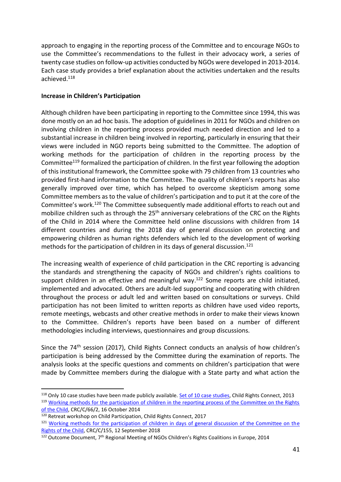approach to engaging in the reporting process of the Committee and to encourage NGOs to use the Committee's recommendations to the fullest in their advocacy work, a series of twenty case studies on follow-up activities conducted by NGOs were developed in 2013-2014. Each case study provides a brief explanation about the activities undertaken and the results achieved.<sup>118</sup>

# **Increase in Children's Participation**

Although children have been participating in reporting to the Committee since 1994, this was done mostly on an ad hoc basis. The adoption of guidelines in 2011 for NGOs and children on involving children in the reporting process provided much needed direction and led to a substantial increase in children being involved in reporting, particularly in ensuring that their views were included in NGO reports being submitted to the Committee. The adoption of working methods for the participation of children in the reporting process by the Committee<sup>119</sup> formalized the participation of children. In the first year following the adoption of this institutional framework, the Committee spoke with 79 children from 13 countries who provided first-hand information to the Committee. The quality of children's reports has also generally improved over time, which has helped to overcome skepticism among some Committee members as to the value of children's participation and to put it at the core of the Committee's work.<sup>120</sup> The Committee subsequently made additional efforts to reach out and mobilize children such as through the 25<sup>th</sup> anniversary celebrations of the CRC on the Rights of the Child in 2014 where the Committee held online discussions with children from 14 different countries and during the 2018 day of general discussion on protecting and empowering children as human rights defenders which led to the development of working methods for the participation of children in its days of general discussion.<sup>121</sup>

The increasing wealth of experience of child participation in the CRC reporting is advancing the standards and strengthening the capacity of NGOs and children's rights coalitions to support children in an effective and meaningful way. <sup>122</sup> Some reports are child initiated, implemented and advocated. Others are adult-led supporting and cooperating with children throughout the process or adult led and written based on consultations or surveys. Child participation has not been limited to written reports as children have used video reports, remote meetings, webcasts and other creative methods in order to make their views known to the Committee. Children's reports have been based on a number of different methodologies including interviews, questionnaires and group discussions.

Since the 74<sup>th</sup> session (2017), Child Rights Connect conducts an analysis of how children's participation is being addressed by the Committee during the examination of reports. The analysis looks at the specific questions and comments on children's participation that were made by Committee members during the dialogue with a State party and what action the

<sup>&</sup>lt;sup>118</sup> Only 10 case studies have been made publicly available. [Set of 10 case studies,](http://bit.ly/CSALLeng) Child Rights Connect, 2013 <sup>119</sup> Working methods for the participation of children in the reporting process of the Committee on the Rights [of the Child,](https://tbinternet.ohchr.org/_layouts/treatybodyexternal/Download.aspx?symbolno=CRC/C/66/2&Lang=en) CRC/C/66/2, 16 October 2014

<sup>120</sup> Retreat workshop on Child Participation, Child Rights Connect, 2017

<sup>&</sup>lt;sup>121</sup> Working methods for the participation of children in days of general discussion of the Committee on the [Rights of the Child,](https://tbinternet.ohchr.org/_layouts/treatybodyexternal/TBSearch.aspx?Lang=en&SymbolNo=CRC/C/155) CRC/C/155, 12 September 2018

<sup>&</sup>lt;sup>122</sup> Outcome Document, 7<sup>th</sup> Regional Meeting of NGOs Children's Rights Coalitions in Europe, 2014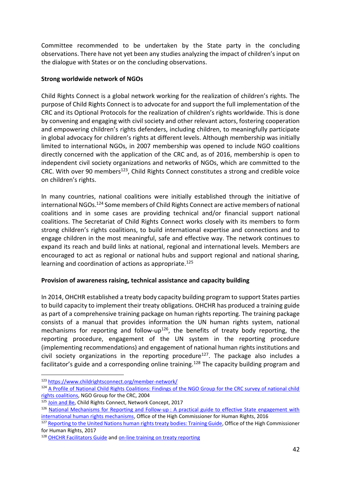Committee recommended to be undertaken by the State party in the concluding observations. There have not yet been any studies analyzing the impact of children's input on the dialogue with States or on the concluding observations.

# **Strong worldwide network of NGOs**

Child Rights Connect is a global network working for the realization of children's rights. The purpose of Child Rights Connect is to advocate for and support the full implementation of the CRC and its Optional Protocols for the realization of children's rights worldwide. This is done by convening and engaging with civil society and other relevant actors, fostering cooperation and empowering children's rights defenders, including children, to meaningfully participate in global advocacy for children's rights at different levels. Although membership was initially limited to international NGOs, in 2007 membership was opened to include NGO coalitions directly concerned with the application of the CRC and, as of 2016, membership is open to independent civil society organizations and networks of NGOs, which are committed to the CRC. With over 90 members<sup>123</sup>, Child Rights Connect constitutes a strong and credible voice on children's rights.

In many countries, national coalitions were initially established through the initiative of international NGOs.<sup>124</sup> Some members of Child Rights Connect are active members of national coalitions and in some cases are providing technical and/or financial support national coalitions. The Secretariat of Child Rights Connect works closely with its members to form strong children's rights coalitions, to build international expertise and connections and to engage children in the most meaningful, safe and effective way. The network continues to expand its reach and build links at national, regional and international levels. Members are encouraged to act as regional or national hubs and support regional and national sharing, learning and coordination of actions as appropriate.<sup>125</sup>

# **Provision of awareness raising, technical assistance and capacity building**

In 2014, OHCHR established a treaty body capacity building program to support States parties to build capacity to implement their treaty obligations. OHCHR has produced a training guide as part of a comprehensive training package on human rights reporting. The training package consists of a manual that provides information the UN human rights system, national mechanisms for reporting and follow-up<sup>126</sup>, the benefits of treaty body reporting, the reporting procedure, engagement of the UN system in the reporting procedure (implementing recommendations) and engagement of national human rights institutions and civil society organizations in the reporting procedure<sup>127</sup>. The package also includes a facilitator's guide and a corresponding online training.<sup>128</sup> The capacity building program and

<sup>123</sup> <https://www.childrightsconnect.org/member-network/>

<sup>124</sup> A Profile of National Child Rights Coalitions: Findings of the NGO Group for the CRC survey of national child [rights coalitions,](https://www.google.com/url?sa=t&rct=j&q=&esrc=s&source=web&cd=6&ved=2ahUKEwjvq9zb5JXjAhUL7aYKHRFRCgcQFjAFegQIAxAC&url=https%3A%2F%2Farchive.crin.org%2Fen%2Fdocs%2Fresources%2Fpublications%2FNGOCRC%2FCRIN-NGOCRC_WP1_en.doc&usg=AOvVaw3gh_5QnO-RW8A3cKm8faS1) NGO Group for the CRC, 2004

<sup>125</sup> [Join and Be,](https://www.childrightsconnect.org/wp-content/uploads/2018/01/2017_NetworkConcept_EN.pdf) Child Rights Connect, Network Concept, 2017

<sup>126</sup> National Mechanisms for Reporting and Follow-up : A practical guide to effective State engagement with [international human rights mechanisms,](https://www.ohchr.org/Documents/Publications/HR_PUB_16_1_NMRF_PracticalGuide.pdf) Office of the High Commissioner for Human Rights, 2016

<sup>127</sup> [Reporting to the United Nations human rights treaty bodies: Training Guide,](https://www.ohchr.org/Documents/Publications/PTS20_HRTB_Training_Guide_PartI.pdf) Office of the High Commissioner for Human Rights, 2017

<sup>128</sup> [OHCHR Facilitators Guide](https://www.ohchr.org/Documents/Publications/PTS20_HRTB_Training_Guide_NotesforFacilitators_PartII.pdf) and [on-line training on treaty reporting](https://ecampus.itcilo.org/enrol/index.php?id=529)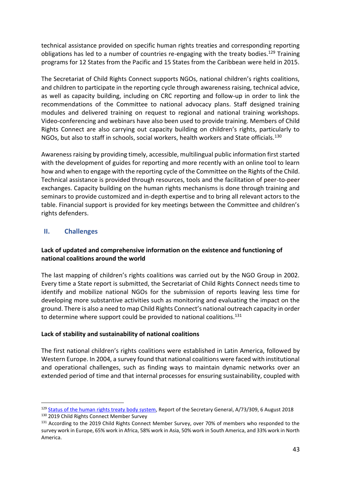technical assistance provided on specific human rights treaties and corresponding reporting obligations has led to a number of countries re-engaging with the treaty bodies.<sup>129</sup> Training programs for 12 States from the Pacific and 15 States from the Caribbean were held in 2015.

The Secretariat of Child Rights Connect supports NGOs, national children's rights coalitions, and children to participate in the reporting cycle through awareness raising, technical advice, as well as capacity building, including on CRC reporting and follow-up in order to link the recommendations of the Committee to national advocacy plans. Staff designed training modules and delivered training on request to regional and national training workshops. Video-conferencing and webinars have also been used to provide training. Members of Child Rights Connect are also carrying out capacity building on children's rights, particularly to NGOs, but also to staff in schools, social workers, health workers and State officials.<sup>130</sup>

Awareness raising by providing timely, accessible, multilingual public information first started with the development of guides for reporting and more recently with an online tool to learn how and when to engage with the reporting cycle of the Committee on the Rights of the Child. Technical assistance is provided through resources, tools and the facilitation of peer-to-peer exchanges. Capacity building on the human rights mechanisms is done through training and seminars to provide customized and in-depth expertise and to bring all relevant actors to the table. Financial support is provided for key meetings between the Committee and children's rights defenders.

# <span id="page-42-0"></span>**II. Challenges**

# **Lack of updated and comprehensive information on the existence and functioning of national coalitions around the world**

The last mapping of children's rights coalitions was carried out by the NGO Group in 2002. Every time a State report is submitted, the Secretariat of Child Rights Connect needs time to identify and mobilize national NGOs for the submission of reports leaving less time for developing more substantive activities such as monitoring and evaluating the impact on the ground. There is also a need to map Child Rights Connect's national outreach capacity in order to determine where support could be provided to national coalitions.<sup>131</sup>

# **Lack of stability and sustainability of national coalitions**

The first national children's rights coalitions were established in Latin America, followed by Western Europe. In 2004, a survey found that national coalitions were faced with institutional and operational challenges, such as finding ways to maintain dynamic networks over an extended period of time and that internal processes for ensuring sustainability, coupled with

<sup>&</sup>lt;sup>129</sup> [Status of the human rights treaty body system,](https://undocs.org/A/73/309) Report of the Secretary General, A/73/309, 6 August 2018

<sup>130 2019</sup> Child Rights Connect Member Survey

<sup>&</sup>lt;sup>131</sup> According to the 2019 Child Rights Connect Member Survey, over 70% of members who responded to the survey work in Europe, 65% work in Africa, 58% work in Asia, 50% work in South America, and 33% work in North America.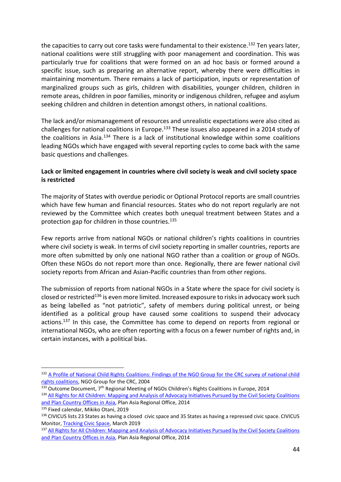the capacities to carry out core tasks were fundamental to their existence.<sup>132</sup> Ten years later, national coalitions were still struggling with poor management and coordination. This was particularly true for coalitions that were formed on an ad hoc basis or formed around a specific issue, such as preparing an alternative report, whereby there were difficulties in maintaining momentum. There remains a lack of participation, inputs or representation of marginalized groups such as girls, children with disabilities, younger children, children in remote areas, children in poor families, minority or indigenous children, refugee and asylum seeking children and children in detention amongst others, in national coalitions.

The lack and/or mismanagement of resources and unrealistic expectations were also cited as challenges for national coalitions in Europe.<sup>133</sup> These issues also appeared in a 2014 study of the coalitions in Asia.<sup>134</sup> There is a lack of institutional knowledge within some coalitions leading NGOs which have engaged with several reporting cycles to come back with the same basic questions and challenges.

# **Lack or limited engagement in countries where civil society is weak and civil society space is restricted**

The majority of States with overdue periodic or Optional Protocol reports are small countries which have few human and financial resources. States who do not report regularly are not reviewed by the Committee which creates both unequal treatment between States and a protection gap for children in those countries.<sup>135</sup>

Few reports arrive from national NGOs or national children's rights coalitions in countries where civil society is weak. In terms of civil society reporting in smaller countries, reports are more often submitted by only one national NGO rather than a coalition or group of NGOs. Often these NGOs do not report more than once. Regionally, there are fewer national civil society reports from African and Asian-Pacific countries than from other regions.

The submission of reports from national NGOs in a State where the space for civil society is closed or restricted<sup>136</sup> is even more limited. Increased exposure to risks in advocacy work such as being labelled as "not patriotic", safety of members during political unrest, or being identified as a political group have caused some coalitions to suspend their advocacy actions.<sup>137</sup> In this case, the Committee has come to depend on reports from regional or international NGOs, who are often reporting with a focus on a fewer number of rights and, in certain instances, with a political bias.

<sup>132</sup> [A Profile of National Child Rights Coalitions: Findings of the NGO Group for](https://www.google.com/url?sa=t&rct=j&q=&esrc=s&source=web&cd=6&ved=2ahUKEwjvq9zb5JXjAhUL7aYKHRFRCgcQFjAFegQIAxAC&url=https%3A%2F%2Farchive.crin.org%2Fen%2Fdocs%2Fresources%2Fpublications%2FNGOCRC%2FCRIN-NGOCRC_WP1_en.doc&usg=AOvVaw3gh_5QnO-RW8A3cKm8faS1) the CRC survey of national child [rights coalitions,](https://www.google.com/url?sa=t&rct=j&q=&esrc=s&source=web&cd=6&ved=2ahUKEwjvq9zb5JXjAhUL7aYKHRFRCgcQFjAFegQIAxAC&url=https%3A%2F%2Farchive.crin.org%2Fen%2Fdocs%2Fresources%2Fpublications%2FNGOCRC%2FCRIN-NGOCRC_WP1_en.doc&usg=AOvVaw3gh_5QnO-RW8A3cKm8faS1) NGO Group for the CRC, 2004

<sup>133</sup> Outcome Document, 7<sup>th</sup> Regional Meeting of NGOs Children's Rights Coalitions in Europe, 2014

<sup>134</sup> All Rights for All Children: Mapping and Analysis of Advocacy Initiatives Pursued by the Civil Society Coalitions [and Plan Country Offices in Asia,](http://www.civilsocietyasia.org/uploads/resources/38/attachment/Advocacy%20Analysis%20Report.pdf) Plan Asia Regional Office, 2014

<sup>135</sup> Fixed calendar, Mikiko Otani, 2019

<sup>136</sup> CIVICUS lists 23 States as having a closed civic space and 35 States as having a repressed civic space. CIVICUS Monitor, [Tracking Civic Space,](https://monitor.civicus.org/) March 2019

<sup>&</sup>lt;sup>137</sup> All Rights for All Children: Mapping and Analysis of Advocacy Initiatives Pursued by the Civil Society Coalitions [and Plan Country Offices in Asia,](http://www.civilsocietyasia.org/uploads/resources/38/attachment/Advocacy%20Analysis%20Report.pdf) Plan Asia Regional Office, 2014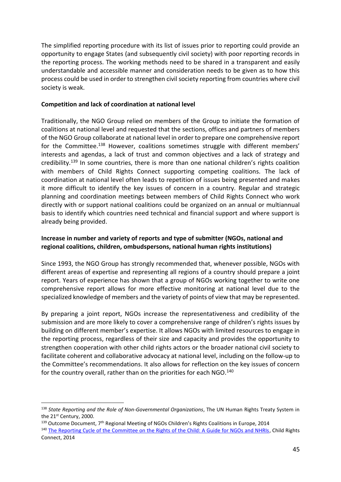The simplified reporting procedure with its list of issues prior to reporting could provide an opportunity to engage States (and subsequently civil society) with poor reporting records in the reporting process. The working methods need to be shared in a transparent and easily understandable and accessible manner and consideration needs to be given as to how this process could be used in order to strengthen civil society reporting from countries where civil society is weak.

### **Competition and lack of coordination at national level**

Traditionally, the NGO Group relied on members of the Group to initiate the formation of coalitions at national level and requested that the sections, offices and partners of members of the NGO Group collaborate at national level in order to prepare one comprehensive report for the Committee.<sup>138</sup> However, coalitions sometimes struggle with different members' interests and agendas, a lack of trust and common objectives and a lack of strategy and credibility.<sup>139</sup> In some countries, there is more than one national children's rights coalition with members of Child Rights Connect supporting competing coalitions. The lack of coordination at national level often leads to repetition of issues being presented and makes it more difficult to identify the key issues of concern in a country. Regular and strategic planning and coordination meetings between members of Child Rights Connect who work directly with or support national coalitions could be organized on an annual or multiannual basis to identify which countries need technical and financial support and where support is already being provided.

# **Increase in number and variety of reports and type of submitter (NGOs, national and regional coalitions, children, ombudspersons, national human rights institutions)**

Since 1993, the NGO Group has strongly recommended that, whenever possible, NGOs with different areas of expertise and representing all regions of a country should prepare a joint report. Years of experience has shown that a group of NGOs working together to write one comprehensive report allows for more effective monitoring at national level due to the specialized knowledge of members and the variety of points of view that may be represented.

By preparing a joint report, NGOs increase the representativeness and credibility of the submission and are more likely to cover a comprehensive range of children's rights issues by building on different member's expertise. It allows NGOs with limited resources to engage in the reporting process, regardless of their size and capacity and provides the opportunity to strengthen cooperation with other child rights actors or the broader national civil society to facilitate coherent and collaborative advocacy at national level, including on the follow-up to the Committee's recommendations. It also allows for reflection on the key issues of concern for the country overall, rather than on the priorities for each NGO.<sup>140</sup>

<sup>138</sup> *State Reporting and the Role of Non-Governmental Organizations*, The UN Human Rights Treaty System in the 21st Century, 2000.

<sup>&</sup>lt;sup>139</sup> Outcome Document, 7<sup>th</sup> Regional Meeting of NGOs Children's Rights Coalitions in Europe, 2014

<sup>&</sup>lt;sup>140</sup> [The Reporting Cycle of the Committee on the Rights of the Child: A Guide for NGOs and NHRIs,](https://www.childrightsconnect.org/wp-content/uploads/2015/07/EN_GuidetoCRCReportingCycle_ChildRightsConnect_2014.pdf) Child Rights Connect, 2014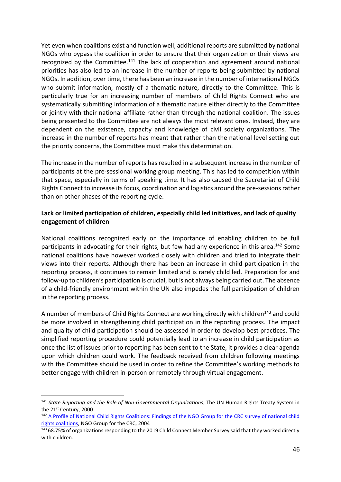Yet even when coalitions exist and function well, additional reports are submitted by national NGOs who bypass the coalition in order to ensure that their organization or their views are recognized by the Committee.<sup>141</sup> The lack of cooperation and agreement around national priorities has also led to an increase in the number of reports being submitted by national NGOs. In addition, over time, there has been an increase in the number of international NGOs who submit information, mostly of a thematic nature, directly to the Committee. This is particularly true for an increasing number of members of Child Rights Connect who are systematically submitting information of a thematic nature either directly to the Committee or jointly with their national affiliate rather than through the national coalition. The issues being presented to the Committee are not always the most relevant ones. Instead, they are dependent on the existence, capacity and knowledge of civil society organizations. The increase in the number of reports has meant that rather than the national level setting out the priority concerns, the Committee must make this determination.

The increase in the number of reports has resulted in a subsequent increase in the number of participants at the pre-sessional working group meeting. This has led to competition within that space, especially in terms of speaking time. It has also caused the Secretariat of Child Rights Connect to increase its focus, coordination and logistics around the pre-sessions rather than on other phases of the reporting cycle.

# **Lack or limited participation of children, especially child led initiatives, and lack of quality engagement of children**

National coalitions recognized early on the importance of enabling children to be full participants in advocating for their rights, but few had any experience in this area.<sup>142</sup> Some national coalitions have however worked closely with children and tried to integrate their views into their reports. Although there has been an increase in child participation in the reporting process, it continues to remain limited and is rarely child led. Preparation for and follow-up to children's participation is crucial, but is not always being carried out. The absence of a child-friendly environment within the UN also impedes the full participation of children in the reporting process.

A number of members of Child Rights Connect are working directly with children<sup>143</sup> and could be more involved in strengthening child participation in the reporting process. The impact and quality of child participation should be assessed in order to develop best practices. The simplified reporting procedure could potentially lead to an increase in child participation as once the list of issues prior to reporting has been sent to the State, it provides a clear agenda upon which children could work. The feedback received from children following meetings with the Committee should be used in order to refine the Committee's working methods to better engage with children in-person or remotely through virtual engagement.

<sup>141</sup> *State Reporting and the Role of Non-Governmental Organizations*, The UN Human Rights Treaty System in the 21st Century, 2000

<sup>&</sup>lt;sup>142</sup> A Profile of National Child Rights Coalitions: Findings of the NGO Group for the CRC survey of national child [rights coalitions,](https://www.google.com/url?sa=t&rct=j&q=&esrc=s&source=web&cd=6&ved=2ahUKEwjvq9zb5JXjAhUL7aYKHRFRCgcQFjAFegQIAxAC&url=https%3A%2F%2Farchive.crin.org%2Fen%2Fdocs%2Fresources%2Fpublications%2FNGOCRC%2FCRIN-NGOCRC_WP1_en.doc&usg=AOvVaw3gh_5QnO-RW8A3cKm8faS1) NGO Group for the CRC, 2004

<sup>&</sup>lt;sup>143</sup> 68.75% of organizations responding to the 2019 Child Connect Member Survey said that they worked directly with children.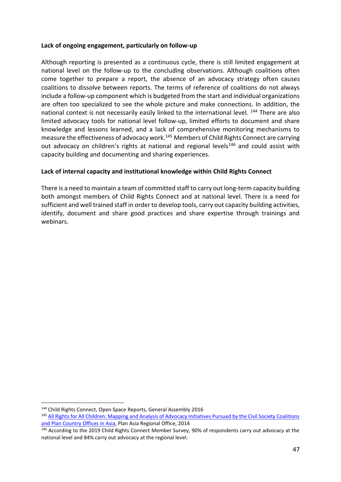# **Lack of ongoing engagement, particularly on follow-up**

Although reporting is presented as a continuous cycle, there is still limited engagement at national level on the follow-up to the concluding observations. Although coalitions often come together to prepare a report, the absence of an advocacy strategy often causes coalitions to dissolve between reports. The terms of reference of coalitions do not always include a follow-up component which is budgeted from the start and individual organizations are often too specialized to see the whole picture and make connections. In addition, the national context is not necessarily easily linked to the international level. <sup>144</sup> There are also limited advocacy tools for national level follow-up, limited efforts to document and share knowledge and lessons learned, and a lack of comprehensive monitoring mechanisms to measure the effectiveness of advocacy work.<sup>145</sup> Members of Child Rights Connect are carrying out advocacy on children's rights at national and regional levels<sup>146</sup> and could assist with capacity building and documenting and sharing experiences.

# **Lack of internal capacity and institutional knowledge within Child Rights Connect**

There is a need to maintain a team of committed staff to carry out long-term capacity building both amongst members of Child Rights Connect and at national level. There is a need for sufficient and well trained staff in order to develop tools, carry out capacity building activities, identify, document and share good practices and share expertise through trainings and webinars.

<sup>144</sup> Child Rights Connect, Open Space Reports, General Assembly 2016

<sup>145</sup> [All Rights for All Children: Mapping and Analysis of Advocacy Initiatives Pursued by the Civil Society Coalitions](http://www.civilsocietyasia.org/uploads/resources/38/attachment/Advocacy%20Analysis%20Report.pdf)  [and Plan Country Offices in Asia,](http://www.civilsocietyasia.org/uploads/resources/38/attachment/Advocacy%20Analysis%20Report.pdf) Plan Asia Regional Office, 2014

<sup>&</sup>lt;sup>146</sup> According to the 2019 Child Rights Connect Member Survey, 90% of respondents carry out advocacy at the national level and 84% carry out advocacy at the regional level.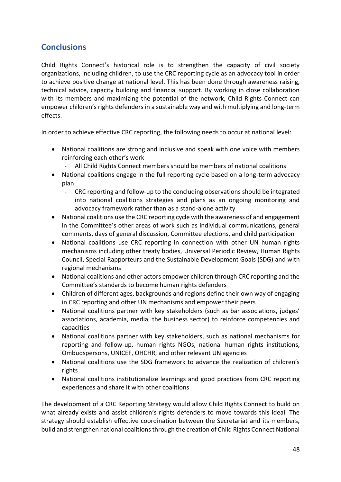# <span id="page-47-0"></span>**Conclusions**

Child Rights Connect's historical role is to strengthen the capacity of civil society organizations, including children, to use the CRC reporting cycle as an advocacy tool in order to achieve positive change at national level. This has been done through awareness raising, technical advice, capacity building and financial support. By working in close collaboration with its members and maximizing the potential of the network, Child Rights Connect can empower children's rights defenders in a sustainable way and with multiplying and long-term effects.

In order to achieve effective CRC reporting, the following needs to occur at national level:

- National coalitions are strong and inclusive and speak with one voice with members reinforcing each other's work
	- All Child Rights Connect members should be members of national coalitions
- National coalitions engage in the full reporting cycle based on a long-term advocacy plan
	- CRC reporting and follow-up to the concluding observations should be integrated into national coalitions strategies and plans as an ongoing monitoring and advocacy framework rather than as a stand-alone activity
- National coalitions use the CRC reporting cycle with the awareness of and engagement in the Committee's other areas of work such as individual communications, general comments, days of general discussion, Committee elections, and child participation
- National coalitions use CRC reporting in connection with other UN human rights mechanisms including other treaty bodies, Universal Periodic Review, Human Rights Council, Special Rapporteurs and the Sustainable Development Goals (SDG) and with regional mechanisms
- National coalitions and other actors empower children through CRC reporting and the Committee's standards to become human rights defenders
- Children of different ages, backgrounds and regions define their own way of engaging in CRC reporting and other UN mechanisms and empower their peers
- National coalitions partner with key stakeholders (such as bar associations, judges' associations, academia, media, the business sector) to reinforce competencies and capacities
- National coalitions partner with key stakeholders, such as national mechanisms for reporting and follow-up, human rights NGOs, national human rights institutions, Ombudspersons, UNICEF, OHCHR, and other relevant UN agencies
- National coalitions use the SDG framework to advance the realization of children's rights
- National coalitions institutionalize learnings and good practices from CRC reporting experiences and share it with other coalitions

The development of a CRC Reporting Strategy would allow Child Rights Connect to build on what already exists and assist children's rights defenders to move towards this ideal. The strategy should establish effective coordination between the Secretariat and its members, build and strengthen national coalitions through the creation of Child Rights Connect National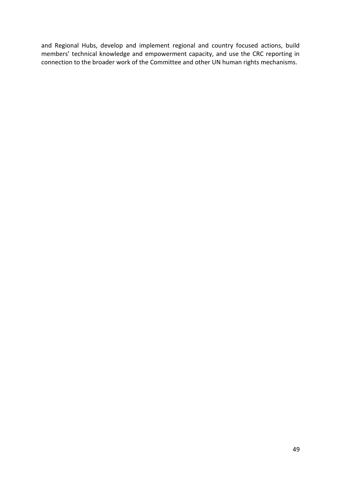and Regional Hubs, develop and implement regional and country focused actions, build members' technical knowledge and empowerment capacity, and use the CRC reporting in connection to the broader work of the Committee and other UN human rights mechanisms.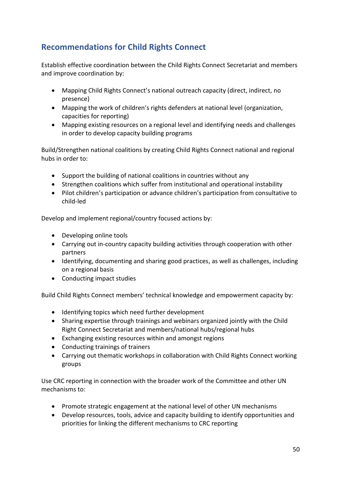# <span id="page-49-0"></span>**Recommendations for Child Rights Connect**

Establish effective coordination between the Child Rights Connect Secretariat and members and improve coordination by:

- Mapping Child Rights Connect's national outreach capacity (direct, indirect, no presence)
- Mapping the work of children's rights defenders at national level (organization, capacities for reporting)
- Mapping existing resources on a regional level and identifying needs and challenges in order to develop capacity building programs

Build/Strengthen national coalitions by creating Child Rights Connect national and regional hubs in order to:

- Support the building of national coalitions in countries without any
- Strengthen coalitions which suffer from institutional and operational instability
- Pilot children's participation or advance children's participation from consultative to child-led

Develop and implement regional/country focused actions by:

- Developing online tools
- Carrying out in-country capacity building activities through cooperation with other partners
- Identifying, documenting and sharing good practices, as well as challenges, including on a regional basis
- Conducting impact studies

Build Child Rights Connect members' technical knowledge and empowerment capacity by:

- Identifying topics which need further development
- Sharing expertise through trainings and webinars organized jointly with the Child Right Connect Secretariat and members/national hubs/regional hubs
- Exchanging existing resources within and amongst regions
- Conducting trainings of trainers
- Carrying out thematic workshops in collaboration with Child Rights Connect working groups

Use CRC reporting in connection with the broader work of the Committee and other UN mechanisms to:

- Promote strategic engagement at the national level of other UN mechanisms
- Develop resources, tools, advice and capacity building to identify opportunities and priorities for linking the different mechanisms to CRC reporting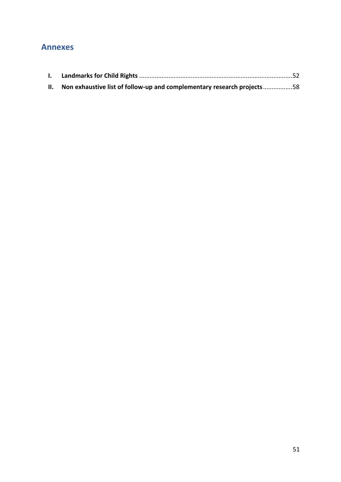# <span id="page-50-0"></span>**Annexes**

| II. Non exhaustive list of follow-up and complementary research projects58 |  |
|----------------------------------------------------------------------------|--|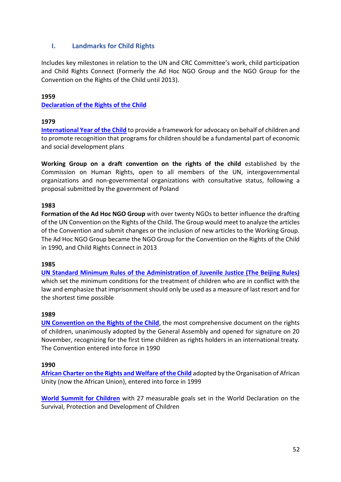# <span id="page-51-0"></span>**I. Landmarks for Child Rights**

Includes key milestones in relation to the UN and CRC Committee's work, child participation and Child Rights Connect (Formerly the Ad Hoc NGO Group and the NGO Group for the Convention on the Rights of the Child until 2013).

# **1959**

# **[Declaration of the Rights of the Child](https://www.ohchr.org/EN/Issues/Education/Training/Compilation/Pages/1DeclarationoftheRightsoftheChild(1959).aspx)**

# **1979**

**[International Year of the Child](https://www.un.org/en/ga/search/view_doc.asp?symbol=A/RES/31/169)** to provide a framework for advocacy on behalf of children and to promote recognition that programs for children should be a fundamental part of economic and social development plans

**Working Group on a draft convention on the rights of the child** established by the Commission on Human Rights, open to all members of the UN, intergovernmental organizations and non-governmental organizations with consultative status, following a proposal submitted by the government of Poland

# **1983**

**Formation of the Ad Hoc NGO Group** with over twenty NGOs to better influence the drafting of the UN Convention on the Rights of the Child. The Group would meet to analyze the articles of the Convention and submit changes or the inclusion of new articles to the Working Group. The Ad Hoc NGO Group became the NGO Group for the Convention on the Rights of the Child in 1990, and Child Rights Connect in 2013

#### **1985**

**[UN Standard Minimum Rules of the Administration of Juvenile Justice \(The Beijing Rules\)](https://www.ohchr.org/Documents/ProfessionalInterest/beijingrules.pdf)** which set the minimum conditions for the treatment of children who are in conflict with the law and emphasize that imprisonment should only be used as a measure of last resort and for the shortest time possible

#### **1989**

**[UN Convention on the Rights of the Child](https://www.ohchr.org/en/professionalinterest/pages/crc.aspx)**, the most comprehensive document on the rights of children, unanimously adopted by the General Assembly and opened for signature on 20 November, recognizing for the first time children as rights holders in an international treaty. The Convention entered into force in 1990

#### **1990**

**[African Charter on the Rights and Welfare of the Child](https://www.un.org/en/africa/osaa/pdf/au/afr_charter_rights_welfare_child_africa_1990.pdf)** adopted by the Organisation of African Unity (now the African Union), entered into force in 1999

**[World Summit for Children](https://www.un.org/geninfo/bp/child.html)** with 27 measurable goals set in the World Declaration on the Survival, Protection and Development of Children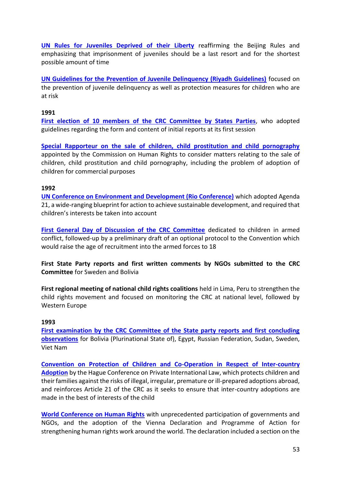**[UN Rules for Juveniles Deprived of their Liberty](https://www.ohchr.org/EN/ProfessionalInterest/Pages/JuvenilesDeprivedOfLiberty.aspx)** reaffirming the Beijing Rules and emphasizing that imprisonment of juveniles should be a last resort and for the shortest possible amount of time

**[UN Guidelines for the Prevention of Juvenile Delinquency \(Riyadh Guidelines\)](https://www.un.org/documents/ga/res/45/a45r112.htm)** focused on the prevention of juvenile delinquency as well as protection measures for children who are at risk

#### **1991**

**[First election of 10 members of the CRC Committee by States Parties](https://www.ohchr.org/EN/HRBodies/CRC/Pages/Membership.aspx)**, who adopted guidelines regarding the form and content of initial reports at its first session

**[Special Rapporteur on the sale of children, child prostitution and child pornography](https://www.ohchr.org/EN/Issues/Children/Pages/ChildrenIndex.aspx)** appointed by the Commission on Human Rights to consider matters relating to the sale of children, child prostitution and child pornography, including the problem of adoption of children for commercial purposes

#### **1992**

**[UN Conference on Environment and Development \(Rio Conference\)](https://www.un.org/geninfo/bp/enviro.html)** which adopted Agenda 21, a wide-ranging blueprint for action to achieve sustainable development, and required that children's interests be taken into account

**[First General Day of Discussion of the CRC Committee](https://www.ohchr.org/Documents/HRBodies/CRC/Discussions/Recommendations/Recommendations1992.pdf)** dedicated to children in armed conflict, followed-up by a preliminary draft of an optional protocol to the Convention which would raise the age of recruitment into the armed forces to 18

**First State Party reports and first written comments by NGOs submitted to the CRC Committee** for Sweden and Bolivia

**First regional meeting of national child rights coalitions** held in Lima, Peru to strengthen the child rights movement and focused on monitoring the CRC at national level, followed by Western Europe

#### **1993**

**[First examination by the CRC Committee of the State party reports and first concluding](https://tbinternet.ohchr.org/_layouts/15/treatybodyexternal/SessionDetails1.aspx?SessionID=21&Lang=en)  [observations](https://tbinternet.ohchr.org/_layouts/15/treatybodyexternal/SessionDetails1.aspx?SessionID=21&Lang=en)** for Bolivia (Plurinational State of), Egypt, Russian Federation, Sudan, Sweden, Viet Nam

**[Convention on Protection of Children and Co-Operation in Respect of Inter-country](https://assets.hcch.net/docs/77e12f23-d3dc-4851-8f0b-050f71a16947.pdf)  [Adoption](https://assets.hcch.net/docs/77e12f23-d3dc-4851-8f0b-050f71a16947.pdf)** by the Hague Conference on Private International Law, which protects children and their families against the risks of illegal, irregular, premature or ill-prepared adoptions abroad, and reinforces Article 21 of the CRC as it seeks to ensure that inter-country adoptions are made in the best of interests of the child

**[World Conference on Human Rights](https://www.ohchr.org/EN/AboutUs/Pages/ViennaWC.aspx)** with unprecedented participation of governments and NGOs, and the adoption of the Vienna Declaration and Programme of Action for strengthening human rights work around the world. The declaration included a section on the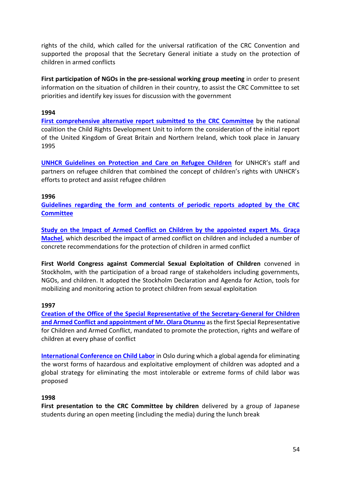rights of the child, which called for the universal ratification of the CRC Convention and supported the proposal that the Secretary General initiate a study on the protection of children in armed conflicts

**First participation of NGOs in the pre-sessional working group meeting** in order to present information on the situation of children in their country, to assist the CRC Committee to set priorities and identify key issues for discussion with the government

### **1994**

**[First comprehensive alternative report submitted to the CRC Committee](https://www.childrightsconnect.org/index.php?gf-download=2018%2F08%2FCRU_GB8.pdf&form-id=57&field-id=7&hash=6920f7f3d1b487199c0ba0d6039cf7241a81cfe3bd0cf34fd73925d9a74e83ec&TB_iframe=true)** by the national coalition the Child Rights Development Unit to inform the consideration of the initial report of the United Kingdom of Great Britain and Northern Ireland, which took place in January 1995

**[UNHCR Guidelines on Protection and Care on Refugee Children](https://www.unhcr.org/protection/children/3b84c6c67/refugee-children-guidelines-protection-care.html)** for UNHCR's staff and partners on refugee children that combined the concept of children's rights with UNHCR's efforts to protect and assist refugee children

# **1996**

**[Guidelines regarding the form and contents of periodic reports adopted by the CRC](https://tbinternet.ohchr.org/_layouts/15/treatybodyexternal/Download.aspx?symbolno=CRC/C/58/REV.3&Lang=en)  [Committee](https://tbinternet.ohchr.org/_layouts/15/treatybodyexternal/Download.aspx?symbolno=CRC/C/58/REV.3&Lang=en)**

**[Study on the Impact of Armed Conflict on Children by the appointed expert Ms. Graça](https://static.unicef.org/graca/a51-306_en.pdf)  [Machel](https://static.unicef.org/graca/a51-306_en.pdf)**, which described the impact of armed conflict on children and included a number of concrete recommendations for the protection of children in armed conflict

**First World Congress against Commercial Sexual Exploitation of Children** convened in Stockholm, with the participation of a broad range of stakeholders including governments, NGOs, and children. It adopted the Stockholm Declaration and Agenda for Action, tools for mobilizing and monitoring action to protect children from sexual exploitation

# **1997**

**[Creation of the Office of the Special Representative of the Secretary-General for Children](https://childrenandarmedconflict.un.org/)  and Armed Conflict and [appointment of Mr. Olara Otunnu](https://childrenandarmedconflict.un.org/)** as the first Special Representative for Children and Armed Conflict, mandated to promote the protection, rights and welfare of children at every phase of conflict

**[International Conference on Child Labor](https://www.ilo.org/global/about-the-ilo/newsroom/news/WCMS_008026/lang--en/index.htm)** in Oslo during which a global agenda for eliminating the worst forms of hazardous and exploitative employment of children was adopted and a global strategy for eliminating the most intolerable or extreme forms of child labor was proposed

# **1998**

**First presentation to the CRC Committee by children** delivered by a group of Japanese students during an open meeting (including the media) during the lunch break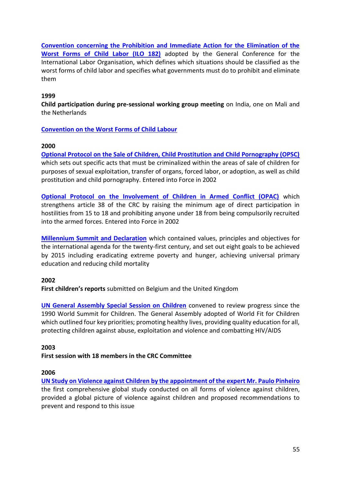**[Convention concerning the Prohibition and Immediate Action for the Elimination of the](https://www.ilo.org/wcmsp5/groups/public/---ed_norm/---declaration/documents/publication/wcms_decl_fs_46_en.pdf)  [Worst Forms of Child Labor \(ILO 182\)](https://www.ilo.org/wcmsp5/groups/public/---ed_norm/---declaration/documents/publication/wcms_decl_fs_46_en.pdf)** adopted by the General Conference for the International Labor Organisation, which defines which situations should be classified as the worst forms of child labor and specifies what governments must do to prohibit and eliminate them

# **1999**

**Child participation during pre-sessional working group meeting** on India, one on Mali and the Netherlands

# **[Convention on the Worst Forms of Child Labour](https://www.ilo.org/dyn/normlex/en/f?p=NORMLEXPUB:12100:0::NO::P12100_ILO_CODE:C182)**

# **2000**

**[Optional Protocol on the Sale of Children, Child Prostitution and Child Pornography \(OPSC\)](https://www.ohchr.org/EN/ProfessionalInterest/Pages/OPSCCRC.aspx)** which sets out specific acts that must be criminalized within the areas of sale of children for purposes of sexual exploitation, transfer of organs, forced labor, or adoption, as well as child prostitution and child pornography. Entered into Force in 2002

**[Optional Protocol on the Involvement of Children in Armed Conflict \(OPAC\)](https://www.ohchr.org/en/professionalinterest/pages/opaccrc.aspx)** which strengthens article 38 of the CRC by raising the minimum age of direct participation in hostilities from 15 to 18 and prohibiting anyone under 18 from being compulsorily recruited into the armed forces. Entered into Force in 2002

**[Millennium Summit and Declaration](https://www.un.org/en/events/pastevents/millennium_summit.shtml)** which contained values, principles and objectives for the international agenda for the twenty-first century, and set out eight goals to be achieved by 2015 including eradicating extreme poverty and hunger, achieving universal primary education and reducing child mortality

# **2002**

**First children's reports** submitted on Belgium and the United Kingdom

**[UN General Assembly Special Session on Children](https://www.un.org/en/events/pastevents/GA_children_2002.shtml)** convened to review progress since the 1990 World Summit for Children. The General Assembly adopted of World Fit for Children which outlined four key priorities; promoting healthy lives, providing quality education for all, protecting children against abuse, exploitation and violence and combatting HIV/AIDS

#### **2003**

# **First session with 18 members in the CRC Committee**

#### **2006**

**[UN Study on Violence against Children by the appointment of the expert Mr. Paulo Pinheiro](https://www.ohchr.org/EN/HRBodies/CRC/Study/Pages/StudyViolenceChildren.aspx)** the first comprehensive global study conducted on all forms of violence against children, provided a global picture of violence against children and proposed recommendations to prevent and respond to this issue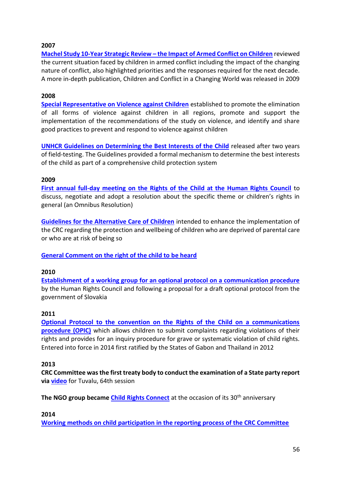# **2007**

**Machel Study 10-Year Strategic Review – [the Impact of Armed Conflict on Children](https://www.un.org/ruleoflaw/files/Machel_Study_10_Year_Strategic_Review_EN_030909%5b1%5d.pdf)** reviewed the current situation faced by children in armed conflict including the impact of the changing nature of conflict, also highlighted priorities and the responses required for the next decade. A more in-depth publication, Children and Conflict in a Changing World was released in 2009

# **2008**

**[Special Representative on Violence against Children](https://violenceagainstchildren.un.org/¨)** established to promote the elimination of all forms of violence against children in all regions, promote and support the implementation of the recommendations of the study on violence, and identify and share good practices to prevent and respond to violence against children

**[UNHCR Guidelines on Determining the Best Interests of the Child](https://www.unhcr.org/4566b16b2.pdf)** released after two years of field-testing. The Guidelines provided a formal mechanism to determine the best interests of the child as part of a comprehensive child protection system

# **2009**

**[First annual full-day meeting on the Rights of the Child at the Human Rights Council](https://www.ohchr.org/EN/HRBodies/HRC/RegularSessions/Session10/Pages/10RegularSession.aspx)** to discuss, negotiate and adopt a resolution about the specific theme or children's rights in general (an Omnibus Resolution)

**[Guidelines for the Alternative Care of Children](https://www.unicef.org/protection/alternative_care_Guidelines-English.pdf)** intended to enhance the implementation of the CRC regarding the protection and wellbeing of children who are deprived of parental care or who are at risk of being so

**[General Comment on the right of the child to be heard](http://docstore.ohchr.org/SelfServices/FilesHandler.ashx?enc=6QkG1d%2fPPRiCAqhKb7yhsqIkirKQZLK2M58RF%2f5F0vHKTUsoHNPBW0noZpSp5d6MSKiT09ePYFY4cH5tmyyvg3YyYVL7uIXAET9fcgaUxKNMYk2%2faPGF8Uay9K0wAPru)**

# **2010**

**[Establishment of a working group for an optional protocol on a communication procedure](https://www.ohchr.org/EN/HRBodies/HRC/WGCRC/Pages/OpenEndedWorkingGroupIndex.aspx)** by the Human Rights Council and following a proposal for a draft optional protocol from the government of Slovakia

#### **2011**

**[Optional Protocol to the convention on the Rights of the Child on a communications](https://www.ohchr.org/EN/ProfessionalInterest/Pages/OPICCRC.aspx)  [procedure \(OPIC\)](https://www.ohchr.org/EN/ProfessionalInterest/Pages/OPICCRC.aspx)** which allows children to submit complaints regarding violations of their rights and provides for an inquiry procedure for grave or systematic violation of child rights. Entered into force in 2014 first ratified by the States of Gabon and Thailand in 2012

#### **2013**

**CRC Committee was the first treaty body to conduct the examination of a State party report via [video](https://tbinternet.ohchr.org/_layouts/15/treatybodyexternal/SessionDetails1.aspx?SessionID=856&Lang=en)** for Tuvalu, 64th session

**The NGO group became [Child Rights Connect](http://www.childrightsconnect.org/)** at the occasion of its 30<sup>th</sup> anniversary

#### **2014**

**[Working methods on child participation in the reporting process of the CRC Committee](https://tbinternet.ohchr.org/_layouts/15/treatybodyexternal/Download.aspx?symbolno=CRC/C/66/2&Lang=en)**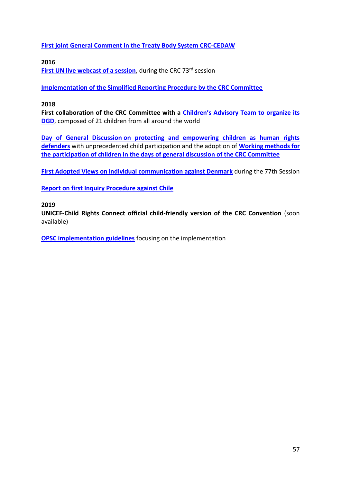**[First joint General Comment in the Treaty Body System CRC-CEDAW](https://tbinternet.ohchr.org/_layouts/15/treatybodyexternal/Download.aspx?symbolno=CEDAW%2fC%2fGC%2f31%2fCRC%2fC%2fGC%2f18&Lang=en)**

**2016**

**[First UN live webcast of a session](http://webtv.un.org/meetings-events/)**, during the CRC 73<sup>rd</sup> session

**[Implementation of the Simplified Reporting Procedure by the CRC Committee](https://www.ohchr.org/EN/HRBodies/CRC/Pages/ReportingProcedure.aspx)**

# **2018**

**First collaboration of the CRC Committee with a Children's [Advisory Team to organize its](https://www.childrightsconnect.org/wp-content/uploads/2018/09/Child-Advisors-Profiles_unique-document.pdf)  [DGD](https://www.childrightsconnect.org/wp-content/uploads/2018/09/Child-Advisors-Profiles_unique-document.pdf)**, composed of 21 children from all around the world

**Day of General Discussion [on protecting and empowering children as human rights](https://www.ohchr.org/EN/HRBodies/CRC/Pages/Discussion2018.aspx)  [defenders](https://www.ohchr.org/EN/HRBodies/CRC/Pages/Discussion2018.aspx)** with unprecedented child participation and the adoption of **[Working methods for](https://tbinternet.ohchr.org/_layouts/15/treatybodyexternal/Download.aspx?symbolno=CRC%2fC%2f155&Lang=en)  [the participation of children in the days of general discussion of the CRC Committee](https://tbinternet.ohchr.org/_layouts/15/treatybodyexternal/Download.aspx?symbolno=CRC%2fC%2f155&Lang=en)**

**[First Adopted Views on individual communication against Denmark](https://tbinternet.ohchr.org/_layouts/15/treatybodyexternal/Download.aspx?symbolno=CRC%2fC%2f77%2fD%2f3%2f2016&Lang=en)** during the 77th Session

**[Report on first Inquiry Procedure against Chile](https://www.ohchr.org/Documents/HRBodies/CRC/CRC_C_CHL_INQ_1.pdf)**

# **2019**

**UNICEF-Child Rights Connect official child-friendly version of the CRC Convention** (soon available)

**[OPSC implementation guidelines](https://www.ohchr.org/EN/HRBodies/CRC/Pages/DraftGuidelinesOPs.aspx)** focusing on the implementation